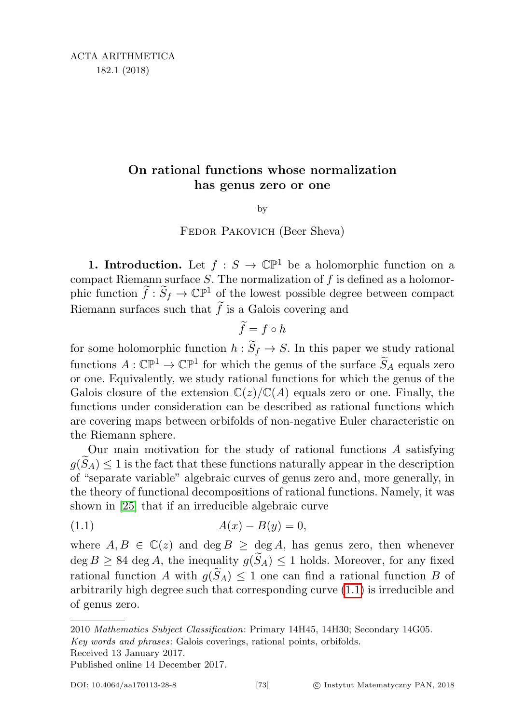# On rational functions whose normalization has genus zero or one

by

Fedor Pakovich (Beer Sheva)

**1. Introduction.** Let  $f : S \to \mathbb{CP}^1$  be a holomorphic function on a compact Riemann surface  $S$ . The normalization of  $f$  is defined as a holomorphic function  $\tilde{f}: \tilde{S}_f \to \mathbb{CP}^1$  of the lowest possible degree between compact Riemann surfaces such that  $\tilde{f}$  is a Galois covering and

$$
\widetilde{f} = f \circ h
$$

for some holomorphic function  $h : \widetilde{S}_f \to S$ . In this paper we study rational functions  $A: \mathbb{CP}^1 \to \mathbb{CP}^1$  for which the genus of the surface  $\widetilde{S}_A$  equals zero or one. Equivalently, we study rational functions for which the genus of the Galois closure of the extension  $\mathbb{C}(z)/\mathbb{C}(A)$  equals zero or one. Finally, the functions under consideration can be described as rational functions which are covering maps between orbifolds of non-negative Euler characteristic on the Riemann sphere.

Our main motivation for the study of rational functions A satisfying  $g(S_A) \leq 1$  is the fact that these functions naturally appear in the description of "separate variable" algebraic curves of genus zero and, more generally, in the theory of functional decompositions of rational functions. Namely, it was shown in [\[25\]](#page-27-0) that if an irreducible algebraic curve

<span id="page-0-0"></span>(1.1) 
$$
A(x) - B(y) = 0,
$$

where  $A, B \in \mathbb{C}(z)$  and  $\deg B \geq \deg A$ , has genus zero, then whenever  $\deg B \geq 84 \deg A$ , the inequality  $g(\widetilde{S}_A) \leq 1$  holds. Moreover, for any fixed rational function A with  $g(\widetilde{S}_A) \leq 1$  one can find a rational function B of arbitrarily high degree such that corresponding curve [\(1.1\)](#page-0-0) is irreducible and of genus zero.

Received 13 January 2017.

<sup>2010</sup> Mathematics Subject Classification: Primary 14H45, 14H30; Secondary 14G05. Key words and phrases: Galois coverings, rational points, orbifolds.

Published online 14 December 2017.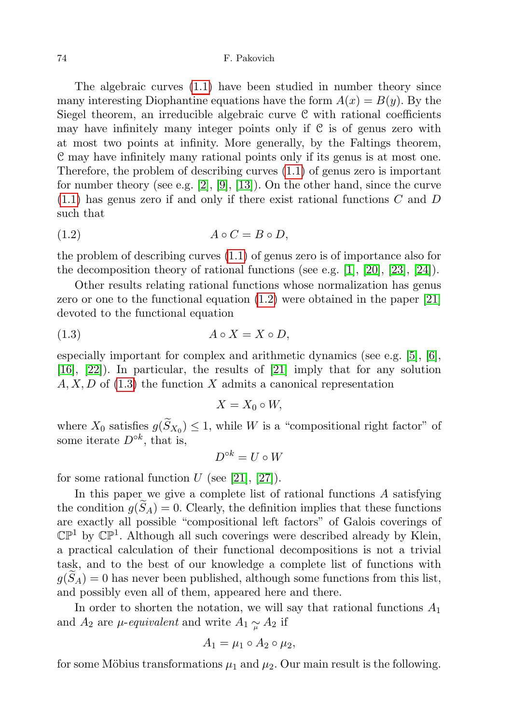## 74 F. Pakovich

The algebraic curves [\(1.1\)](#page-0-0) have been studied in number theory since many interesting Diophantine equations have the form  $A(x) = B(y)$ . By the Siegel theorem, an irreducible algebraic curve C with rational coefficients may have infinitely many integer points only if  $C$  is of genus zero with at most two points at infinity. More generally, by the Faltings theorem, C may have infinitely many rational points only if its genus is at most one. Therefore, the problem of describing curves [\(1.1\)](#page-0-0) of genus zero is important for number theory (see e.g. [\[2\]](#page-26-0), [\[9\]](#page-27-1), [\[13\]](#page-27-2)). On the other hand, since the curve  $(1.1)$  has genus zero if and only if there exist rational functions C and D such that

<span id="page-1-0"></span>
$$
(1.2) \t\t A \circ C = B \circ D,
$$

the problem of describing curves [\(1.1\)](#page-0-0) of genus zero is of importance also for the decomposition theory of rational functions (see e.g. [\[1\]](#page-26-1), [\[20\]](#page-27-3), [\[23\]](#page-27-4), [\[24\]](#page-27-5)).

Other results relating rational functions whose normalization has genus zero or one to the functional equation [\(1.2\)](#page-1-0) were obtained in the paper [\[21\]](#page-27-6) devoted to the functional equation

<span id="page-1-1"></span>
$$
(1.3) \t\t A \circ X = X \circ D,
$$

especially important for complex and arithmetic dynamics (see e.g. [\[5\]](#page-26-2), [\[6\]](#page-26-3), [\[16\]](#page-27-7), [\[22\]](#page-27-8)). In particular, the results of [\[21\]](#page-27-6) imply that for any solution  $A, X, D$  of [\(1.3\)](#page-1-1) the function X admits a canonical representation

$$
X=X_0\circ W,
$$

where  $X_0$  satisfies  $g(S_{X_0}) \leq 1$ , while W is a "compositional right factor" of some iterate  $D^{\circ k}$ , that is,

$$
D^{\circ k} = U \circ W
$$

for some rational function U (see [\[21\]](#page-27-6), [\[27\]](#page-27-9)).

In this paper we give a complete list of rational functions  $A$  satisfying the condition  $g(\widetilde{S}_A) = 0$ . Clearly, the definition implies that these functions are exactly all possible "compositional left factors" of Galois coverings of  $\mathbb{CP}^1$  by  $\mathbb{CP}^1$ . Although all such coverings were described already by Klein, a practical calculation of their functional decompositions is not a trivial task, and to the best of our knowledge a complete list of functions with  $g(S_A) = 0$  has never been published, although some functions from this list, and possibly even all of them, appeared here and there.

In order to shorten the notation, we will say that rational functions  $A_1$ and  $A_2$  are  $\mu$ -equivalent and write  $A_1 \sim A_2$  if

$$
A_1 = \mu_1 \circ A_2 \circ \mu_2,
$$

for some Möbius transformations  $\mu_1$  and  $\mu_2$ . Our main result is the following.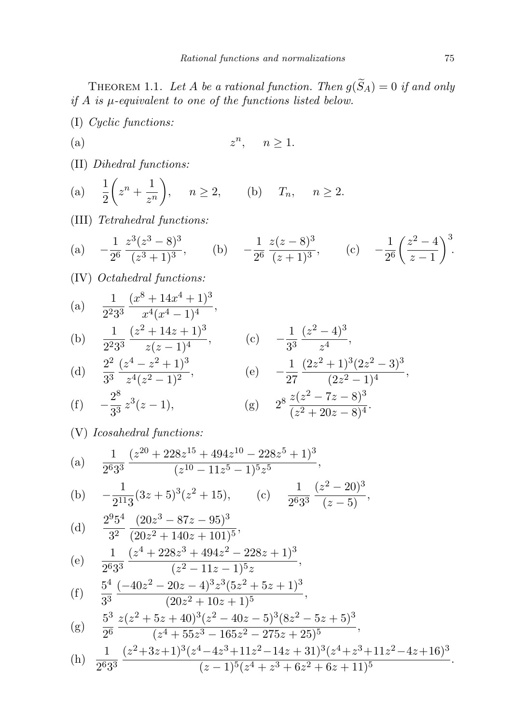<span id="page-2-0"></span>THEOREM 1.1. Let A be a rational function. Then  $g(\widetilde{S}_A) = 0$  if and only if  $A$  is  $\mu$ -equivalent to one of the functions listed below.

- (I) Cyclic functions:
- $(a)$  z <sup>n</sup>,  $n \geq 1$ .
- (II) Dihedral functions:
- (a)  $\frac{1}{2}$  $\left(z^n+\frac{1}{z}\right)$ z n  $\Big), \quad n \geq 2, \qquad (b) \quad T_n, \quad n \geq 2.$
- (III) Tetrahedral functions:

(a) 
$$
-\frac{1}{2^6} \frac{z^3 (z^3 - 8)^3}{(z^3 + 1)^3}
$$
, (b)  $-\frac{1}{2^6} \frac{z (z - 8)^3}{(z + 1)^3}$ , (c)  $-\frac{1}{2^6} \left(\frac{z^2 - 4}{z - 1}\right)^3$ .

(IV) Octahedral functions:

(a) 
$$
\frac{1}{2^2 3^3} \frac{(x^8 + 14x^4 + 1)^3}{x^4 (x^4 - 1)^4},
$$

(b) 
$$
\frac{1}{2^2 3^3} \frac{(z^2 + 14z + 1)^3}{z(z - 1)^4}
$$
, (c)  $-\frac{1}{3^3} \frac{(z^2 - 4)^3}{z^4}$ ,  
\n $2^2 (z^4 - z^2 + 1)^3$ , (d)  $1 (2z^2 + 1)^3 (2z^2 - 3)^3$ 

(d) 
$$
\frac{2^2}{3^3} \frac{(z^4 - z^2 + 1)^3}{z^4 (z^2 - 1)^2}
$$
, (e)  $-\frac{1}{27} \frac{(2z^2 + 1)^3 (2z^2 - 3)^3}{(2z^2 - 1)^4}$ ,  
\n $2^8$ 

(f) 
$$
-\frac{2^8}{3^3}z^3(z-1)
$$
, (g)  $2^8 \frac{z(z^2-7z-8)^3}{(z^2+20z-8)^4}$ .

(V) Icosahedral functions:

(a) 
$$
\frac{1}{2^6 3^3} \frac{(z^{20} + 228z^{15} + 494z^{10} - 228z^5 + 1)^3}{(z^{10} - 11z^5 - 1)^5 z^5},
$$

(b) 
$$
-\frac{1}{2^{11}3}(3z+5)^3(z^2+15)
$$
, (c)  $\frac{1}{2^63^3}\frac{(z^2-20)^3}{(z-5)}$ ,

(d) 
$$
\frac{2^9 5^4}{3^2} \frac{(20z^3 - 87z - 95)^3}{(20z^2 + 140z + 101)^5},
$$

(e) 
$$
\frac{1}{2^6 3^3} \frac{(z^4 + 228z^3 + 494z^2 - 228z + 1)^3}{(z^2 - 11z - 1)^5 z},
$$

(f) 
$$
\frac{5^4}{3^3} \frac{(-40z^2 - 20z - 4)^3 z^3 (5z^2 + 5z + 1)^3}{(20z^2 + 10z + 1)^5},
$$

$$
(g) \frac{5^3}{2^6} \frac{z(z^2+5z+40)^3(z^2-40z-5)^3(8z^2-5z+5)^3}{(z^4+55z^3-165z^2-275z+25)^5},
$$

(h) 
$$
\frac{1}{2^6 3^3} \frac{(z^2+3z+1)^3 (z^4-4z^3+11z^2-14z+31)^3 (z^4+z^3+11z^2-4z+16)^3}{(z-1)^5 (z^4+z^3+6z^2+6z+11)^5}.
$$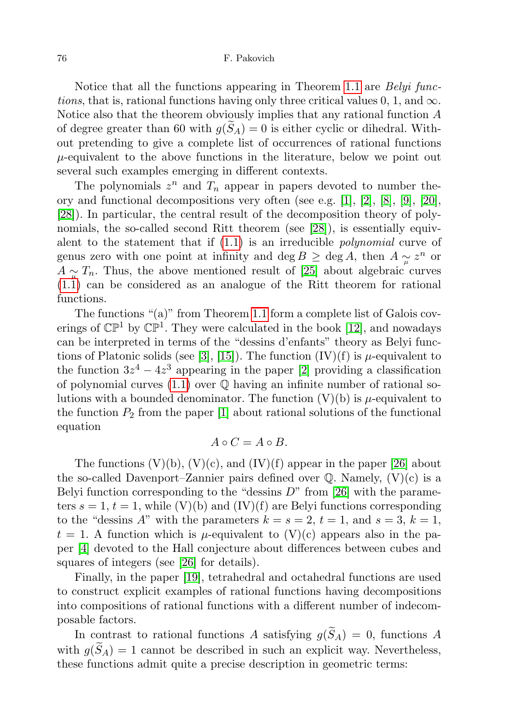### 76 F. Pakovich

Notice that all the functions appearing in Theorem [1.1](#page-2-0) are *Belyi func*tions, that is, rational functions having only three critical values  $0, 1$ , and  $\infty$ . Notice also that the theorem obviously implies that any rational function A of degree greater than 60 with  $g(S_A) = 0$  is either cyclic or dihedral. Without pretending to give a complete list of occurrences of rational functions  $\mu$ -equivalent to the above functions in the literature, below we point out several such examples emerging in different contexts.

The polynomials  $z^n$  and  $T_n$  appear in papers devoted to number theory and functional decompositions very often (see e.g. [\[1\]](#page-26-1), [\[2\]](#page-26-0), [\[8\]](#page-26-4), [\[9\]](#page-27-1), [\[20\]](#page-27-3), [\[28\]](#page-27-10)). In particular, the central result of the decomposition theory of polynomials, the so-called second Ritt theorem (see [\[28\]](#page-27-10)), is essentially equivalent to the statement that if  $(1.1)$  is an irreducible *polynomial* curve of genus zero with one point at infinity and deg  $B \geq \text{deg }A$ , then  $A \underset{\mu}{\sim} z^n$  or  $A \sim \mu T_n$ . Thus, the above mentioned result of [\[25\]](#page-27-0) about algebraic curves [\(1.1\)](#page-0-0) can be considered as an analogue of the Ritt theorem for rational functions.

The functions "(a)" from Theorem [1.1](#page-2-0) form a complete list of Galois coverings of  $\mathbb{CP}^1$  by  $\mathbb{CP}^1$ . They were calculated in the book [\[12\]](#page-27-11), and nowadays can be interpreted in terms of the "dessins d'enfants" theory as Belyi func-tions of Platonic solids (see [\[3\]](#page-26-5), [\[15\]](#page-27-12)). The function  $(IV)(f)$  is  $\mu$ -equivalent to the function  $3z^4 - 4z^3$  appearing in the paper [\[2\]](#page-26-0) providing a classification of polynomial curves  $(1.1)$  over  $\mathbb Q$  having an infinite number of rational solutions with a bounded denominator. The function  $(V)(b)$  is  $\mu$ -equivalent to the function  $P_2$  from the paper [\[1\]](#page-26-1) about rational solutions of the functional equation

$$
A \circ C = A \circ B.
$$

The functions  $(V)(b)$ ,  $(V)(c)$ , and  $(IV)(f)$  appear in the paper [\[26\]](#page-27-13) about the so-called Davenport–Zannier pairs defined over  $\mathbb Q$ . Namely,  $(V)(c)$  is a Belyi function corresponding to the "dessins  $D$ " from [\[26\]](#page-27-13) with the parameters  $s = 1$ ,  $t = 1$ , while  $(V)(b)$  and  $(IV)(f)$  are Belyi functions corresponding to the "dessins A" with the parameters  $k = s = 2, t = 1$ , and  $s = 3, k = 1$ ,  $t = 1$ . A function which is  $\mu$ -equivalent to (V)(c) appears also in the paper [\[4\]](#page-26-6) devoted to the Hall conjecture about differences between cubes and squares of integers (see [\[26\]](#page-27-13) for details).

Finally, in the paper [\[19\]](#page-27-14), tetrahedral and octahedral functions are used to construct explicit examples of rational functions having decompositions into compositions of rational functions with a different number of indecomposable factors.

In contrast to rational functions A satisfying  $g(\widetilde{S}_A) = 0$ , functions A with  $g(\widetilde{S}_A) = 1$  cannot be described in such an explicit way. Nevertheless, these functions admit quite a precise description in geometric terms: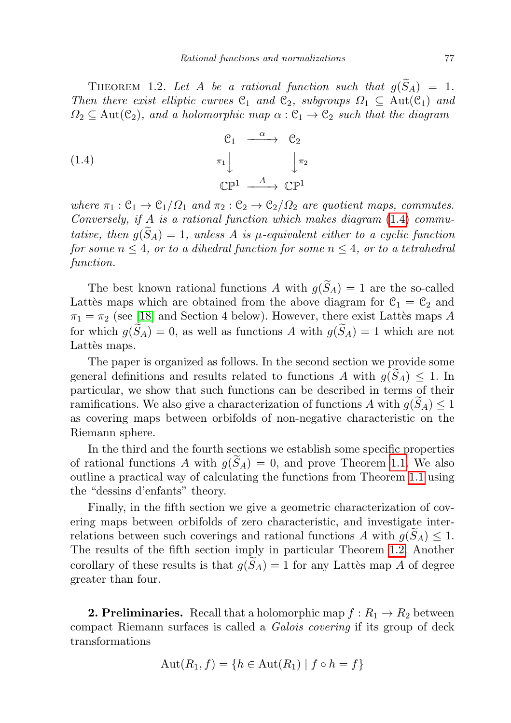<span id="page-4-1"></span>THEOREM 1.2. Let A be a rational function such that  $g(\widetilde{S}_A) = 1$ . Then there exist elliptic curves  $C_1$  and  $C_2$ , subgroups  $\Omega_1 \subseteq \text{Aut}(C_1)$  and  $\Omega_2 \subseteq \text{Aut}(\mathcal{C}_2)$ , and a holomorphic map  $\alpha : \mathcal{C}_1 \to \mathcal{C}_2$  such that the diagram

<span id="page-4-0"></span>(1.4) 
$$
\begin{array}{ccc}\nC_1 & \xrightarrow{\alpha} & C_2 \\
\pi_1 & & \pi_2 \\
\mathbb{CP}^1 & \xrightarrow{A} & \mathbb{CP}^1\n\end{array}
$$

where  $\pi_1 : \mathcal{C}_1 \to \mathcal{C}_1/\Omega_1$  and  $\pi_2 : \mathcal{C}_2 \to \mathcal{C}_2/\Omega_2$  are quotient maps, commutes. Conversely, if  $A$  is a rational function which makes diagram  $(1.4)$  commutative, then  $g(\tilde{S}_A) = 1$ , unless A is  $\mu$ -equivalent either to a cyclic function for some  $n \leq 4$ , or to a dihedral function for some  $n \leq 4$ , or to a tetrahedral function.

The best known rational functions A with  $g(\widetilde{S}_A) = 1$  are the so-called Lattès maps which are obtained from the above diagram for  $C_1 = C_2$  and  $\pi_1 = \pi_2$  (see [\[18\]](#page-27-15) and Section 4 below). However, there exist Lattès maps A for which  $g(\widetilde{S}_A) = 0$ , as well as functions A with  $g(\widetilde{S}_A) = 1$  which are not Lattès maps.

The paper is organized as follows. In the second section we provide some general definitions and results related to functions A with  $g(\widetilde{S}_A) \leq 1$ . In particular, we show that such functions can be described in terms of their ramifications. We also give a characterization of functions A with  $g(S_A) \leq 1$ as covering maps between orbifolds of non-negative characteristic on the Riemann sphere.

In the third and the fourth sections we establish some specific properties of rational functions A with  $g(S_A) = 0$ , and prove Theorem [1.1.](#page-2-0) We also outline a practical way of calculating the functions from Theorem [1.1](#page-2-0) using the "dessins d'enfants" theory.

Finally, in the fifth section we give a geometric characterization of covering maps between orbifolds of zero characteristic, and investigate interrelations between such coverings and rational functions A with  $g(S_A) \leq 1$ . The results of the fifth section imply in particular Theorem [1.2.](#page-4-1) Another corollary of these results is that  $g(S_A) = 1$  for any Lattes map A of degree greater than four.

**2. Preliminaries.** Recall that a holomorphic map  $f: R_1 \to R_2$  between compact Riemann surfaces is called a Galois covering if its group of deck transformations

$$
Aut(R_1, f) = \{ h \in Aut(R_1) \mid f \circ h = f \}
$$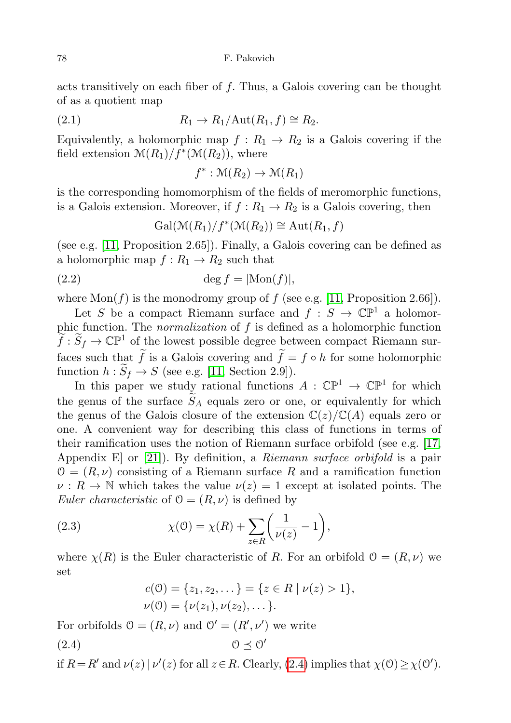acts transitively on each fiber of  $f$ . Thus, a Galois covering can be thought of as a quotient map

<span id="page-5-1"></span>(2.1) 
$$
R_1 \to R_1/\text{Aut}(R_1, f) \cong R_2.
$$

Equivalently, a holomorphic map  $f: R_1 \rightarrow R_2$  is a Galois covering if the field extension  $\mathcal{M}(R_1)/f^*(\mathcal{M}(R_2))$ , where

$$
f^*: \mathcal{M}(R_2) \to \mathcal{M}(R_1)
$$

is the corresponding homomorphism of the fields of meromorphic functions, is a Galois extension. Moreover, if  $f: R_1 \to R_2$  is a Galois covering, then

$$
Gal(\mathcal{M}(R_1)/f^*(\mathcal{M}(R_2)) \cong Aut(R_1, f)
$$

(see e.g. [\[11,](#page-27-16) Proposition 2.65]). Finally, a Galois covering can be defined as a holomorphic map  $f: R_1 \to R_2$  such that

<span id="page-5-3"></span>
$$
(2.2) \t\t \tdeg f = |\text{Mon}(f)|,
$$

where  $Mon(f)$  is the monodromy group of f (see e.g. [\[11,](#page-27-16) Proposition 2.66]).

Let S be a compact Riemann surface and  $f : S \to \mathbb{C}P^1$  a holomorphic function. The *normalization* of  $f$  is defined as a holomorphic function  $\widetilde{f}: \widetilde{S}_f \to \mathbb{C}\mathbb{P}^1$  of the lowest possible degree between compact Riemann surfaces such that  $\tilde{f}$  is a Galois covering and  $\tilde{f} = f \circ h$  for some holomorphic function  $h : \widetilde{S}_f \to S$  (see e.g. [\[11,](#page-27-16) Section 2.9]).

In this paper we study rational functions  $A : \mathbb{CP}^1 \to \mathbb{CP}^1$  for which the genus of the surface  $\widetilde{S}_A$  equals zero or one, or equivalently for which the genus of the Galois closure of the extension  $\mathbb{C}(z)/\mathbb{C}(A)$  equals zero or one. A convenient way for describing this class of functions in terms of their ramification uses the notion of Riemann surface orbifold (see e.g. [\[17,](#page-27-17) Appendix E or [\[21\]](#page-27-6)). By definition, a *Riemann surface orbifold* is a pair  $\mathcal{O} = (R, \nu)$  consisting of a Riemann surface R and a ramification function  $\nu : R \to \mathbb{N}$  which takes the value  $\nu(z) = 1$  except at isolated points. The *Euler characteristic* of  $\mathcal{O} = (R, \nu)$  is defined by

<span id="page-5-2"></span>(2.3) 
$$
\chi(0) = \chi(R) + \sum_{z \in R} \left(\frac{1}{\nu(z)} - 1\right),
$$

where  $\chi(R)$  is the Euler characteristic of R. For an orbifold  $\mathcal{O} = (R, \nu)$  we set

$$
c(0) = \{z_1, z_2, \dots\} = \{z \in R \mid \nu(z) > 1\},\,
$$
  

$$
\nu(0) = \{\nu(z_1), \nu(z_2), \dots\}.
$$

<span id="page-5-0"></span>For orbifolds  $0 = (R, \nu)$  and  $0' = (R', \nu')$  we write  $(2.4)$   $0 \leq 0'$ 

if  $R = R'$  and  $\nu(z) | \nu'(z)$  for all  $z \in R$ . Clearly, [\(2.4\)](#page-5-0) implies that  $\chi(0) \geq \chi(0')$ .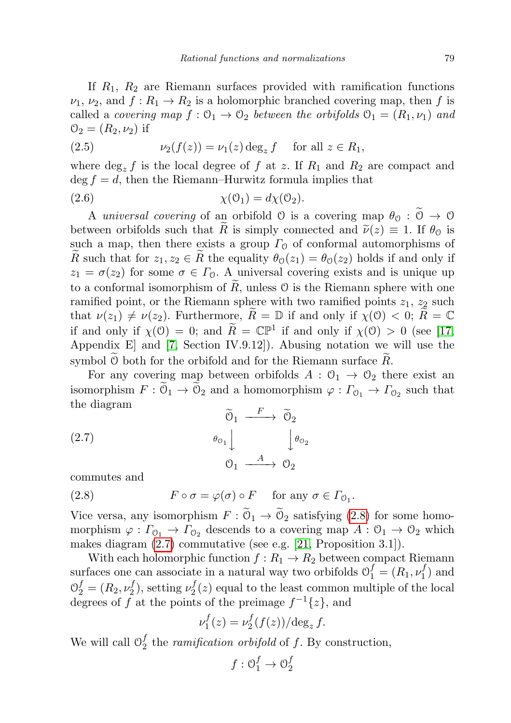If  $R_1$ ,  $R_2$  are Riemann surfaces provided with ramification functions  $\nu_1, \nu_2$ , and  $f: R_1 \to R_2$  is a holomorphic branched covering map, then f is called a *covering map*  $f: \mathcal{O}_1 \to \mathcal{O}_2$  between the orbifolds  $\mathcal{O}_1 = (R_1, \nu_1)$  and  $\mathcal{O}_2 = (R_2, \nu_2)$  if

<span id="page-6-3"></span>(2.5) 
$$
\nu_2(f(z)) = \nu_1(z) \deg_z f \quad \text{for all } z \in R_1,
$$

where  $\deg_z f$  is the local degree of f at z. If  $R_1$  and  $R_2$  are compact and  $\deg f = d$ , then the Riemann–Hurwitz formula implies that

<span id="page-6-2"></span>
$$
\chi(\mathcal{O}_1) = d\chi(\mathcal{O}_2).
$$

A universal covering of an orbifold  $\emptyset$  is a covering map  $\theta_{\emptyset} : \widetilde{\emptyset} \to \emptyset$ between orbifolds such that R is simply connected and  $\tilde{\nu}(z) \equiv 1$ . If  $\theta_0$  is such a map, then there exists a group  $\Gamma_{\mathcal{O}}$  of conformal automorphisms of R such that for  $z_1, z_2 \in R$  the equality  $\theta_0(z_1) = \theta_0(z_2)$  holds if and only if  $z_1 = \sigma(z_2)$  for some  $\sigma \in \Gamma_0$ . A universal covering exists and is unique up to a conformal isomorphism of  $\overline{R}$ , unless  $\overline{O}$  is the Riemann sphere with one ramified point, or the Riemann sphere with two ramified points  $z_1$ ,  $z_2$  such that  $\nu(z_1) \neq \nu(z_2)$ . Furthermore,  $\tilde{R} = \mathbb{D}$  if and only if  $\chi(\mathcal{O}) < 0$ ;  $R = \mathbb{C}$ if and only if  $\chi(\mathcal{O}) = 0$ ; and  $\widetilde{R} = \mathbb{CP}^1$  if and only if  $\chi(\mathcal{O}) > 0$  (see [\[17,](#page-27-17) Appendix E] and [\[7,](#page-26-7) Section IV.9.12]). Abusing notation we will use the symbol  $\emptyset$  both for the orbifold and for the Riemann surface  $\hat{R}$ .

For any covering map between orbifolds  $A: \mathcal{O}_1 \to \mathcal{O}_2$  there exist an isomorphism  $F: \mathcal{O}_1 \to \mathcal{O}_2$  and a homomorphism  $\varphi: \Gamma_{\mathcal{O}_1} \to \Gamma_{\mathcal{O}_2}$  such that the diagram

<span id="page-6-1"></span>(2.7)  
\n
$$
\begin{array}{ccc}\n\widetilde{\mathcal{O}}_1 & \xrightarrow{F} & \widetilde{\mathcal{O}}_2 \\
\downarrow^{g_{\mathcal{O}_1}} & & \downarrow^{g_{\mathcal{O}_2}} \\
\mathcal{O}_1 & \xrightarrow{A} & \mathcal{O}_2\n\end{array}
$$

commutes and

<span id="page-6-0"></span>(2.8) 
$$
F \circ \sigma = \varphi(\sigma) \circ F \quad \text{for any } \sigma \in \Gamma_{0_1}.
$$

Vice versa, any isomorphism  $F: \mathcal{O}_1 \to \mathcal{O}_2$  satisfying [\(2.8\)](#page-6-0) for some homomorphism  $\varphi : \Gamma_{0_1} \to \Gamma_{0_2}$  descends to a covering map  $A : \mathcal{O}_1 \to \mathcal{O}_2$  which makes diagram [\(2.7\)](#page-6-1) commutative (see e.g. [\[21,](#page-27-6) Proposition 3.1]).

With each holomorphic function  $f : R_1 \to R_2$  between compact Riemann surfaces one can associate in a natural way two orbifolds  $\mathcal{O}_1^f = (R_1, \nu_1^f)$  $y_1'$ ) and  $\mathcal{O}_{2}^{f} = (R_{2}, \nu_{2}^{f})$  $\omega_2^f$ ), setting  $\nu_2^f$  $\mathbb{Z}_2^J(z)$  equal to the least common multiple of the local degrees of f at the points of the preimage  $f^{-1}{z}$ , and

$$
\nu_1^f(z) = \nu_2^f(f(z)) / \deg_z f.
$$

We will call  $\mathcal{O}_2^f$  $\frac{J}{2}$  the *ramification orbifold* of f. By construction,

$$
f: \mathcal{O}_1^f \to \mathcal{O}_2^f
$$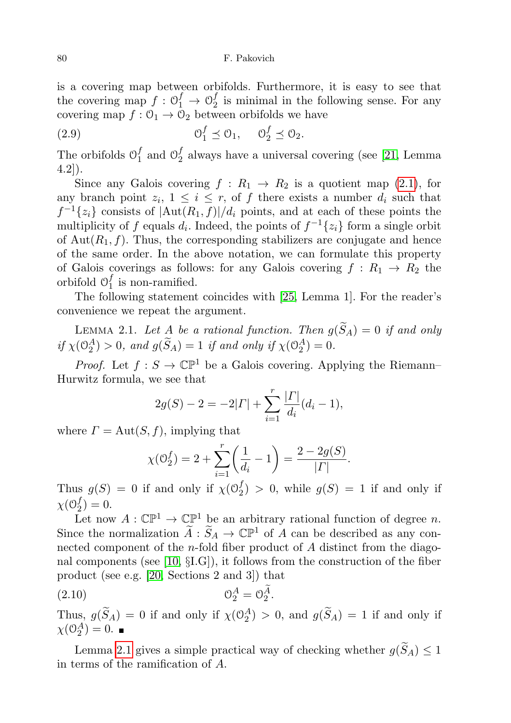is a covering map between orbifolds. Furthermore, it is easy to see that the covering map  $f: \mathcal{O}_1^f \to \mathcal{O}_2^f$  $\frac{1}{2}$  is minimal in the following sense. For any covering map  $f: \mathcal{O}_1 \to \mathcal{O}_2$  between orbifolds we have

<span id="page-7-1"></span>(2.9) 
$$
\mathcal{O}_1^f \preceq \mathcal{O}_1, \quad \mathcal{O}_2^f \preceq \mathcal{O}_2.
$$

The orbifolds  $\mathcal{O}_1^f$  $_1^f$  and  $\mathcal{O}_2^f$  $_2^J$  always have a universal covering (see [\[21,](#page-27-6) Lemma 4.2]).

Since any Galois covering  $f : R_1 \rightarrow R_2$  is a quotient map [\(2.1\)](#page-5-1), for any branch point  $z_i$ ,  $1 \leq i \leq r$ , of f there exists a number  $d_i$  such that  $f^{-1}\{z_i\}$  consists of  $|\text{Aut}(R_1, f)|/d_i$  points, and at each of these points the multiplicity of f equals  $d_i$ . Indeed, the points of  $f^{-1}\{z_i\}$  form a single orbit of  $Aut(R_1, f)$ . Thus, the corresponding stabilizers are conjugate and hence of the same order. In the above notation, we can formulate this property of Galois coverings as follows: for any Galois covering  $f: R_1 \rightarrow R_2$  the orbifold  $\mathcal{O}_1^f$  $\frac{J}{1}$  is non-ramified.

The following statement coincides with [\[25,](#page-27-0) Lemma 1]. For the reader's convenience we repeat the argument.

<span id="page-7-0"></span>LEMMA 2.1. Let A be a rational function. Then  $g(\widetilde{S}_A) = 0$  if and only if  $\chi(\mathbb{O}_2^A) > 0$ , and  $g(\tilde{S}_A) = 1$  if and only if  $\chi(\mathbb{O}_2^A) = 0$ .

*Proof.* Let  $f : S \to \mathbb{C} \mathbb{P}^1$  be a Galois covering. Applying the Riemann– Hurwitz formula, we see that

$$
2g(S) - 2 = -2|\Gamma| + \sum_{i=1}^{r} \frac{|\Gamma|}{d_i} (d_i - 1),
$$

where  $\Gamma = \text{Aut}(S, f)$ , implying that

$$
\chi(\mathcal{O}_2^f) = 2 + \sum_{i=1}^r \left(\frac{1}{d_i} - 1\right) = \frac{2 - 2g(S)}{|\Gamma|}.
$$

Thus  $g(S) = 0$  if and only if  $\chi(0_2^f)$  $2<sup>J</sup>$  > 0, while  $g(S) = 1$  if and only if  $\chi$ (0<sup>f</sup><sub>2</sub>  $_{2}^{J})=0.$ 

Let now  $A: \mathbb{CP}^1 \to \mathbb{CP}^1$  be an arbitrary rational function of degree n. Since the normalization  $\widetilde{A}: \widetilde{S}_A \to \mathbb{C}\mathbb{P}^1$  of A can be described as any connected component of the n-fold fiber product of A distinct from the diagonal components (see [\[10,](#page-27-18) §I.G]), it follows from the construction of the fiber product (see e.g. [\[20,](#page-27-3) Sections 2 and 3]) that

<span id="page-7-2"></span>(2.10) O A <sup>2</sup> = O Ae 2 .

Thus,  $g(\tilde{S}_A) = 0$  if and only if  $\chi(\mathcal{O}_2^A) > 0$ , and  $g(\tilde{S}_A) = 1$  if and only if  $\chi(\mathcal{O}_2^A)=0.$ 

Lemma [2.1](#page-7-0) gives a simple practical way of checking whether  $g(\widetilde{S}_A) \leq 1$ in terms of the ramification of A.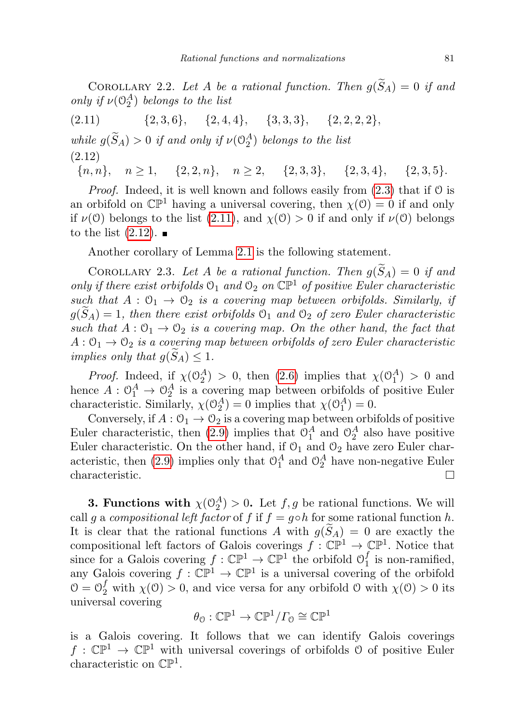COROLLARY 2.2. Let A be a rational function. Then  $q(\widetilde{S}_A) = 0$  if and only if  $\nu(\mathcal{O}_2^A)$  belongs to the list

<span id="page-8-0"></span> $(2.11)$   $\{2, 3, 6\}, \{2, 4, 4\}, \{3, 3, 3\}, \{2, 2, 2, 2\},$ while  $g(\tilde{S}_A) > 0$  if and only if  $\nu(\mathbb{O}_2^A)$  belongs to the list (2.12)

<span id="page-8-1"></span> ${n, n}, n \ge 1, \quad {2, 2, n}, n \ge 2, \quad {2, 3, 3}, \quad {2, 3, 4}, \quad {2, 3, 5}.$ 

*Proof.* Indeed, it is well known and follows easily from  $(2.3)$  that if  $\theta$  is an orbifold on  $\mathbb{CP}^1$  having a universal covering, then  $\chi(\mathcal{O}) = 0$  if and only if  $\nu(\mathcal{O})$  belongs to the list [\(2.11\)](#page-8-0), and  $\chi(\mathcal{O}) > 0$  if and only if  $\nu(\mathcal{O})$  belongs to the list  $(2.12)$ .

Another corollary of Lemma [2.1](#page-7-0) is the following statement.

<span id="page-8-2"></span>COROLLARY 2.3. Let A be a rational function. Then  $g(\widetilde{S}_A) = 0$  if and only if there exist orbifolds  $\mathcal{O}_1$  and  $\mathcal{O}_2$  on  $\mathbb{CP}^1$  of positive Euler characteristic such that  $A: \mathcal{O}_1 \to \mathcal{O}_2$  is a covering map between orbifolds. Similarly, if  $g(S_A) = 1$ , then there exist orbifolds  $\mathcal{O}_1$  and  $\mathcal{O}_2$  of zero Euler characteristic such that  $A: \mathcal{O}_1 \to \mathcal{O}_2$  is a covering map. On the other hand, the fact that  $A: \mathcal{O}_1 \to \mathcal{O}_2$  is a covering map between orbifolds of zero Euler characteristic implies only that  $g(S_A) \leq 1$ .

*Proof.* Indeed, if  $\chi(\mathbb{O}_2^A) > 0$ , then [\(2.6\)](#page-6-2) implies that  $\chi(\mathbb{O}_1^A) > 0$  and hence  $A: \mathbb{O}_1^A \to \mathbb{O}_2^A$  is a covering map between orbifolds of positive Euler characteristic. Similarly,  $\chi(\mathcal{O}_2^A) = 0$  implies that  $\chi(\mathcal{O}_1^A) = 0$ .

Conversely, if  $A: \mathcal{O}_1 \to \mathcal{O}_2$  is a covering map between orbifolds of positive Euler characteristic, then [\(2.9\)](#page-7-1) implies that  $\mathcal{O}_1^A$  and  $\mathcal{O}_2^A$  also have positive Euler characteristic. On the other hand, if  $\mathcal{O}_1$  and  $\mathcal{O}_2$  have zero Euler char-acteristic, then [\(2.9\)](#page-7-1) implies only that  $\mathcal{O}_1^A$  and  $\mathcal{O}_2^A$  have non-negative Euler characteristic.  $\Box$ 

**3. Functions with**  $\chi(\mathbb{O}_2^A) > 0$ . Let  $f, g$  be rational functions. We will call g a compositional left factor of f if  $f = g \circ h$  for some rational function h. It is clear that the rational functions A with  $g(S_A) = 0$  are exactly the compositional left factors of Galois coverings  $f : \mathbb{CP}^1 \to \mathbb{CP}^1$ . Notice that since for a Galois covering  $f : \mathbb{CP}^1 \to \mathbb{CP}^1$  the orbifold  $\mathcal{O}_1^f$  $I_1$  is non-ramified, any Galois covering  $f : \mathbb{CP}^1 \to \mathbb{CP}^1$  is a universal covering of the orbifold  $\mathcal{O} = \mathcal{O}_2^f$  with  $\chi(\mathcal{O}) > 0$ , and vice versa for any orbifold  $\mathcal{O}$  with  $\chi(\mathcal{O}) > 0$  its universal covering

$$
\theta_0:\mathbb{CP}^1\to\mathbb{CP}^1/\varGamma_0\cong\mathbb{CP}^1
$$

is a Galois covering. It follows that we can identify Galois coverings  $f: \mathbb{CP}^1 \to \mathbb{CP}^1$  with universal coverings of orbifolds 0 of positive Euler characteristic on  $\mathbb{CP}^1$ .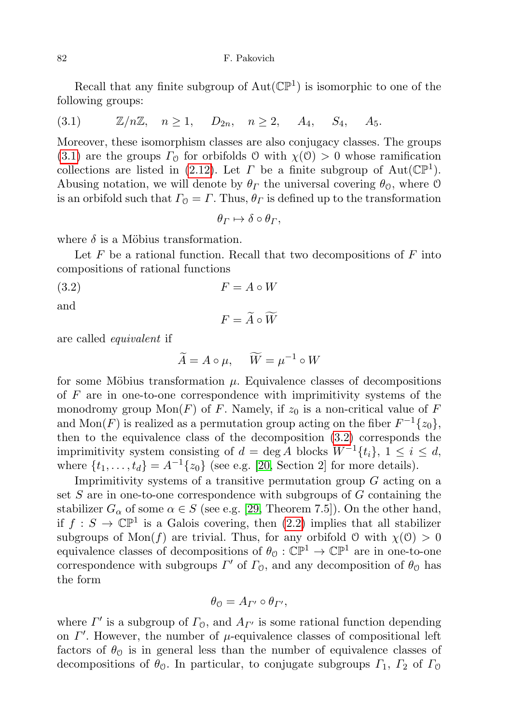Recall that any finite subgroup of  $Aut(\mathbb{CP}^1)$  is isomorphic to one of the following groups:

<span id="page-9-0"></span>
$$
(3.1) \t\t\t\mathbb{Z}/n\mathbb{Z}, \quad n \ge 1, \quad D_{2n}, \quad n \ge 2, \quad A_4, \quad S_4, \quad A_5.
$$

Moreover, these isomorphism classes are also conjugacy classes. The groups [\(3.1\)](#page-9-0) are the groups  $\Gamma_0$  for orbifolds 0 with  $\chi(0) > 0$  whose ramification collections are listed in [\(2.12\)](#page-8-1). Let  $\Gamma$  be a finite subgroup of  $Aut(\mathbb{CP}^1)$ . Abusing notation, we will denote by  $\theta_{\Gamma}$  the universal covering  $\theta_{\mathcal{O}}$ , where  $\mathcal{O}$ is an orbifold such that  $\Gamma_0 = \Gamma$ . Thus,  $\theta_{\Gamma}$  is defined up to the transformation

 $\theta_{\Gamma} \mapsto \delta \circ \theta_{\Gamma}$ ,

where  $\delta$  is a Möbius transformation.

Let  $F$  be a rational function. Recall that two decompositions of  $F$  into compositions of rational functions

<span id="page-9-1"></span> $(3.2)$   $F = A \circ W$ 

and

$$
F = \widetilde{A} \circ \widetilde{W}
$$

are called equivalent if

$$
\widetilde{A} = A \circ \mu, \quad \widetilde{W} = \mu^{-1} \circ W
$$

for some Möbius transformation  $\mu$ . Equivalence classes of decompositions of  $F$  are in one-to-one correspondence with imprimitivity systems of the monodromy group  $Mon(F)$  of F. Namely, if  $z_0$  is a non-critical value of F and  $\text{Mon}(F)$  is realized as a permutation group acting on the fiber  $F^{-1}\{z_0\}$ , then to the equivalence class of the decomposition [\(3.2\)](#page-9-1) corresponds the imprimitivity system consisting of  $d = \deg A$  blocks  $W^{-1}{t_i}$ ,  $1 \leq i \leq d$ , where  $\{t_1, \ldots, t_d\} = A^{-1}\{z_0\}$  (see e.g. [\[20,](#page-27-3) Section 2] for more details).

Imprimitivity systems of a transitive permutation group  $G$  acting on a set  $S$  are in one-to-one correspondence with subgroups of  $G$  containing the stabilizer  $G_{\alpha}$  of some  $\alpha \in S$  (see e.g. [\[29,](#page-27-19) Theorem 7.5]). On the other hand, if  $f: S \to \mathbb{C} \mathbb{P}^1$  is a Galois covering, then  $(2.2)$  implies that all stabilizer subgroups of Mon(f) are trivial. Thus, for any orbifold  $\theta$  with  $\chi(\theta) > 0$ equivalence classes of decompositions of  $\theta_{\mathcal{O}} : \mathbb{CP}^1 \to \mathbb{CP}^1$  are in one-to-one correspondence with subgroups  $\Gamma'$  of  $\Gamma_0$ , and any decomposition of  $\theta_0$  has the form

$$
\theta_{0} = A_{\Gamma'} \circ \theta_{\Gamma'},
$$

where  $\Gamma'$  is a subgroup of  $\Gamma_0$ , and  $A_{\Gamma'}$  is some rational function depending on  $\Gamma'$ . However, the number of  $\mu$ -equivalence classes of compositional left factors of  $\theta_{\mathcal{O}}$  is in general less than the number of equivalence classes of decompositions of  $\theta_0$ . In particular, to conjugate subgroups  $\Gamma_1$ ,  $\Gamma_2$  of  $\Gamma_0$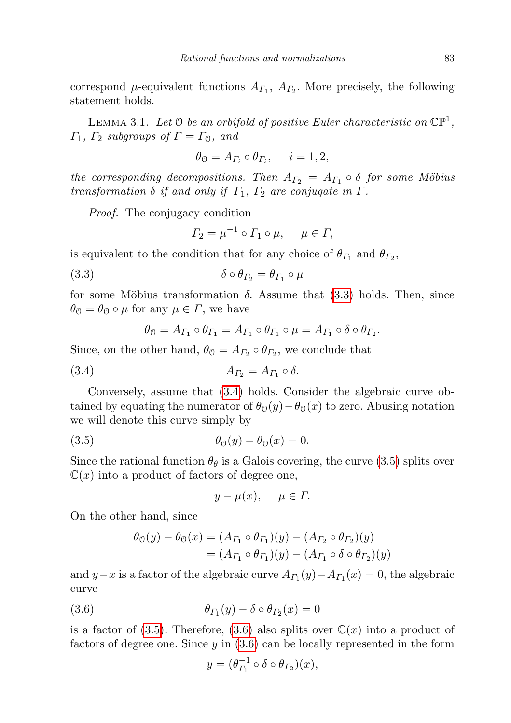correspond  $\mu$ -equivalent functions  $A_{\Gamma_1}$ ,  $A_{\Gamma_2}$ . More precisely, the following statement holds.

<span id="page-10-4"></span>LEMMA 3.1. Let  $\Theta$  be an orbifold of positive Euler characteristic on  $\mathbb{CP}^1$ ,  $\Gamma_1$ ,  $\Gamma_2$  subgroups of  $\Gamma = \Gamma_0$ , and

$$
\theta_0 = A_{\Gamma_i} \circ \theta_{\Gamma_i}, \quad i = 1, 2,
$$

the corresponding decompositions. Then  $A_{\Gamma_2} = A_{\Gamma_1} \circ \delta$  for some Möbius transformation  $\delta$  if and only if  $\Gamma_1$ ,  $\Gamma_2$  are conjugate in  $\Gamma$ .

Proof. The conjugacy condition

$$
\Gamma_2 = \mu^{-1} \circ \Gamma_1 \circ \mu, \quad \mu \in \Gamma,
$$

is equivalent to the condition that for any choice of  $\theta_{\Gamma_1}$  and  $\theta_{\Gamma_2}$ ,

<span id="page-10-0"></span>(3.3) δ ◦ θΓ<sup>2</sup> = θΓ<sup>1</sup> ◦ µ

for some Möbius transformation  $\delta$ . Assume that [\(3.3\)](#page-10-0) holds. Then, since  $\theta_{\mathcal{O}} = \theta_{\mathcal{O}} \circ \mu$  for any  $\mu \in \Gamma$ , we have

$$
\theta_{\mathcal{O}} = A_{\Gamma_1} \circ \theta_{\Gamma_1} = A_{\Gamma_1} \circ \theta_{\Gamma_1} \circ \mu = A_{\Gamma_1} \circ \delta \circ \theta_{\Gamma_2}.
$$

Since, on the other hand,  $\theta_{\mathcal{O}} = A_{\Gamma_2} \circ \theta_{\Gamma_2}$ , we conclude that

<span id="page-10-1"></span>
$$
(3.4) \t\t\t A_{\Gamma_2}=A_{\Gamma_1}\circ\delta.
$$

Conversely, assume that [\(3.4\)](#page-10-1) holds. Consider the algebraic curve obtained by equating the numerator of  $\theta_0(y) - \theta_0(x)$  to zero. Abusing notation we will denote this curve simply by

<span id="page-10-2"></span>
$$
\theta_0(y) - \theta_0(x) = 0.
$$

Since the rational function  $\theta_{\theta}$  is a Galois covering, the curve [\(3.5\)](#page-10-2) splits over  $\mathbb{C}(x)$  into a product of factors of degree one,

$$
y - \mu(x), \quad \mu \in \Gamma.
$$

On the other hand, since

$$
\theta_{0}(y) - \theta_{0}(x) = (A_{\Gamma_{1}} \circ \theta_{\Gamma_{1}})(y) - (A_{\Gamma_{2}} \circ \theta_{\Gamma_{2}})(y)
$$
  
=  $(A_{\Gamma_{1}} \circ \theta_{\Gamma_{1}})(y) - (A_{\Gamma_{1}} \circ \delta \circ \theta_{\Gamma_{2}})(y)$ 

and  $y-x$  is a factor of the algebraic curve  $A_{\Gamma_1}(y) - A_{\Gamma_1}(x) = 0$ , the algebraic curve

<span id="page-10-3"></span>
$$
(3.6) \qquad \theta_{\Gamma_1}(y) - \delta \circ \theta_{\Gamma_2}(x) = 0
$$

is a factor of [\(3.5\)](#page-10-2). Therefore, [\(3.6\)](#page-10-3) also splits over  $\mathbb{C}(x)$  into a product of factors of degree one. Since  $y$  in  $(3.6)$  can be locally represented in the form

$$
y = (\theta_{\Gamma_1}^{-1} \circ \delta \circ \theta_{\Gamma_2})(x),
$$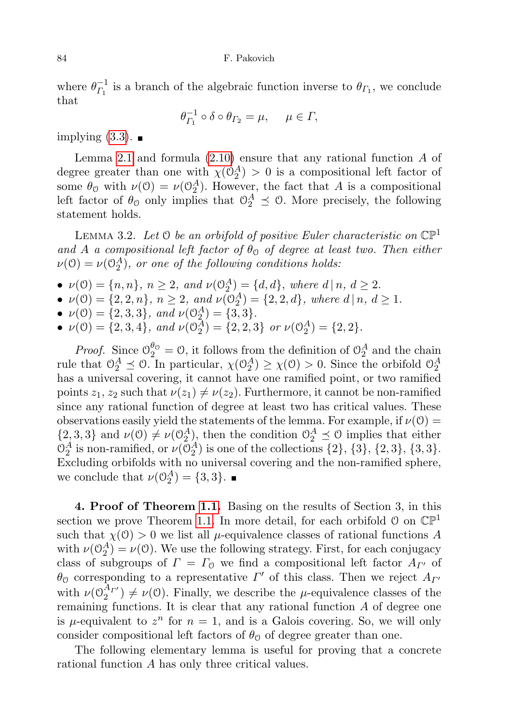84 F. Pakovich

where  $\theta_{L_1}^{-1}$  $\overline{C}_{I_1}^{-1}$  is a branch of the algebraic function inverse to  $\theta_{I_1}$ , we conclude that

$$
\theta_{\varGamma_1}^{-1} \circ \delta \circ \theta_{\varGamma_2} = \mu, \quad \mu \in \varGamma,
$$

implying  $(3.3)$ .

Lemma [2.1](#page-7-0) and formula  $(2.10)$  ensure that any rational function  $A$  of degree greater than one with  $\chi(\mathcal{O}_2^A) > 0$  is a compositional left factor of some  $\theta_0$  with  $\nu(0) = \nu(0_2^A)$ . However, the fact that A is a compositional left factor of  $\theta_0$  only implies that  $\theta_2^A \preceq 0$ . More precisely, the following statement holds.

<span id="page-11-0"></span>LEMMA 3.2. Let  $\mathcal O$  be an orbifold of positive Euler characteristic on  $\mathbb{CP}^1$ and A a compositional left factor of  $\theta_{\mathcal{O}}$  of degree at least two. Then either  $\nu(\mathcal{O}) = \nu(\mathcal{O}_2^A)$ , or one of the following conditions holds:

- $\nu(0) = \{n, n\},\ n \ge 2,\ and\ \nu(0_2^A) = \{d, d\},\ where\ d \mid n, d \ge 2.$
- $\nu(0) = \{2, 2, n\}, n \ge 2, \text{ and } \nu(0_2^A) = \{2, 2, d\}, \text{ where } d | n, d \ge 1.$
- $\nu(\mathbb{O}) = \{2, 3, 3\}, \text{ and } \nu(\mathbb{O}_2^A) = \{3, 3\}.$
- $\nu(\mathcal{O}) = \{2, 3, 4\}$ , and  $\nu(\mathcal{O}_2^A) = \{2, 2, 3\}$  or  $\nu(\mathcal{O}_2^A) = \{2, 2\}$ .

*Proof.* Since  $\mathcal{O}_2^{\theta_0} = \mathcal{O}$ , it follows from the definition of  $\mathcal{O}_2^A$  and the chain rule that  $\mathcal{O}_2^A \preceq \mathcal{O}$ . In particular,  $\chi(\mathcal{O}_2^A) \geq \chi(\mathcal{O}) > 0$ . Since the orbifold  $\mathcal{O}_2^A$ has a universal covering, it cannot have one ramified point, or two ramified points  $z_1, z_2$  such that  $\nu(z_1) \neq \nu(z_2)$ . Furthermore, it cannot be non-ramified since any rational function of degree at least two has critical values. These observations easily yield the statements of the lemma. For example, if  $\nu(0)$  =  $\{2,3,3\}$  and  $\nu(\mathcal{O}) \neq \nu(\mathcal{O}_2^A)$ , then the condition  $\mathcal{O}_2^A \preceq \mathcal{O}$  implies that either  $\mathcal{O}_2^A$  is non-ramified, or  $\nu(\mathcal{O}_2^A)$  is one of the collections  $\{2\}$ ,  $\{3\}$ ,  $\{2,3\}$ ,  $\{3,3\}$ . Excluding orbifolds with no universal covering and the non-ramified sphere, we conclude that  $\nu(\mathcal{O}_2^A) = \{3, 3\}.$ 

4. Proof of Theorem [1.1.](#page-2-0) Basing on the results of Section 3, in this section we prove Theorem [1.1.](#page-2-0) In more detail, for each orbifold  $\mathcal{O}$  on  $\mathbb{CP}^1$ such that  $\chi(0) > 0$  we list all  $\mu$ -equivalence classes of rational functions A with  $\nu(\mathbb{O}_2^A) = \nu(\mathbb{O})$ . We use the following strategy. First, for each conjugacy class of subgroups of  $\Gamma = \Gamma_0$  we find a compositional left factor  $A_{\Gamma}$  of  $\theta_0$  corresponding to a representative  $\Gamma'$  of this class. Then we reject  $A_{\Gamma'}$ with  $\nu(\mathcal{O}_2^{A_{\Gamma'}}) \neq \nu(\mathcal{O})$ . Finally, we describe the  $\mu$ -equivalence classes of the remaining functions. It is clear that any rational function  $A$  of degree one is  $\mu$ -equivalent to  $z^n$  for  $n = 1$ , and is a Galois covering. So, we will only consider compositional left factors of  $\theta_{\mathcal{O}}$  of degree greater than one.

The following elementary lemma is useful for proving that a concrete rational function A has only three critical values.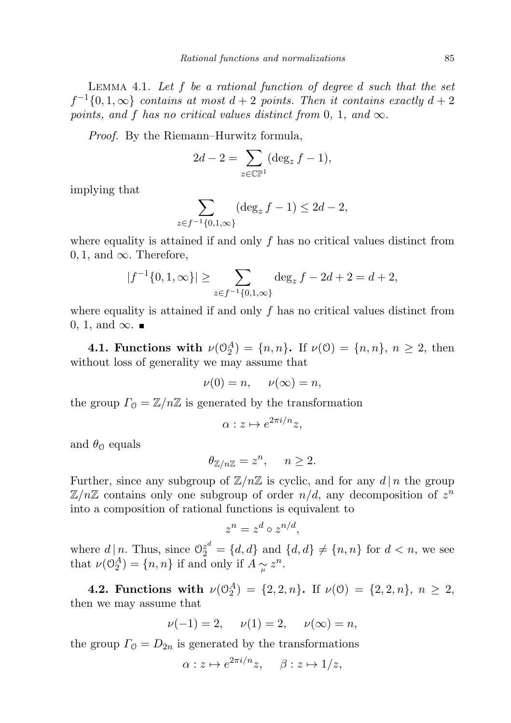<span id="page-12-0"></span>LEMMA 4.1. Let  $f$  be a rational function of degree  $d$  such that the set  $f^{-1}{0, 1, \infty}$  contains at most  $d+2$  points. Then it contains exactly  $d+2$ points, and f has no critical values distinct from 0, 1, and  $\infty$ .

Proof. By the Riemann–Hurwitz formula,

$$
2d - 2 = \sum_{z \in \mathbb{CP}^1} (\deg_z f - 1),
$$

implying that

$$
\sum_{z \in f^{-1}\{0,1,\infty\}} (\deg_z f - 1) \le 2d - 2,
$$

where equality is attained if and only  $f$  has no critical values distinct from  $0, 1$ , and  $\infty$ . Therefore,

$$
|f^{-1}\{0, 1, \infty\}| \ge \sum_{z \in f^{-1}\{0, 1, \infty\}} \deg_z f - 2d + 2 = d + 2,
$$

where equality is attained if and only  $f$  has no critical values distinct from 0, 1, and  $\infty$ . ■

**4.1. Functions with**  $\nu(\mathbb{O}_2^A) = \{n, n\}$ . If  $\nu(\mathbb{O}) = \{n, n\}$ ,  $n \geq 2$ , then without loss of generality we may assume that

$$
\nu(0) = n, \quad \nu(\infty) = n,
$$

the group  $\Gamma_0 = \mathbb{Z}/n\mathbb{Z}$  is generated by the transformation

$$
\alpha: z \mapsto e^{2\pi i/n}z,
$$

and  $\theta_{\odot}$  equals

$$
\theta_{\mathbb{Z}/n\mathbb{Z}} = z^n, \quad n \ge 2.
$$

Further, since any subgroup of  $\mathbb{Z}/n\mathbb{Z}$  is cyclic, and for any  $d | n$  the group  $\mathbb{Z}/n\mathbb{Z}$  contains only one subgroup of order  $n/d$ , any decomposition of  $z^n$ into a composition of rational functions is equivalent to

$$
z^n = z^d \circ z^{n/d},
$$

where  $d | n$ . Thus, since  $\mathbb{O}_2^{z^d} = \{d, d\}$  and  $\{d, d\} \neq \{n, n\}$  for  $d < n$ , we see that  $\nu(\mathbb{O}_2^A) = \{n, n\}$  if and only if  $A \underset{\mu}{\sim} z^n$ .

4.2. Functions with  $\nu(\mathbb{O}_2^A) = \{2, 2, n\}$ . If  $\nu(\mathbb{O}) = \{2, 2, n\}$ ,  $n \geq 2$ , then we may assume that

$$
\nu(-1) = 2
$$
,  $\nu(1) = 2$ ,  $\nu(\infty) = n$ ,

the group  $\Gamma_0 = D_{2n}$  is generated by the transformations

$$
\alpha: z \mapsto e^{2\pi i/n}z, \quad \beta: z \mapsto 1/z,
$$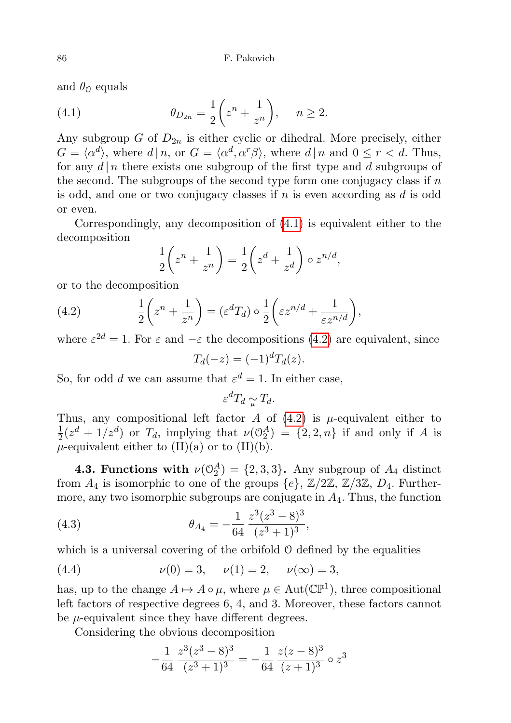and  $\theta_{\mathcal{O}}$  equals

<span id="page-13-0"></span>(4.1) 
$$
\theta_{D_{2n}} = \frac{1}{2} \left( z^n + \frac{1}{z^n} \right), \quad n \ge 2.
$$

Any subgroup G of  $D_{2n}$  is either cyclic or dihedral. More precisely, either  $G = \langle \alpha^d \rangle$ , where  $d | n$ , or  $G = \langle \alpha^d, \alpha^r \beta \rangle$ , where  $d | n$  and  $0 \le r < d$ . Thus, for any  $d | n$  there exists one subgroup of the first type and d subgroups of the second. The subgroups of the second type form one conjugacy class if  $n$ is odd, and one or two conjugacy classes if  $n$  is even according as  $d$  is odd or even.

Correspondingly, any decomposition of [\(4.1\)](#page-13-0) is equivalent either to the decomposition

$$
\frac{1}{2}\left(z^n + \frac{1}{z^n}\right) = \frac{1}{2}\left(z^d + \frac{1}{z^d}\right) \circ z^{n/d},
$$

or to the decomposition

<span id="page-13-1"></span>(4.2) 
$$
\frac{1}{2}\left(z^n+\frac{1}{z^n}\right)=(\varepsilon^d T_d)\circ\frac{1}{2}\left(\varepsilon z^{n/d}+\frac{1}{\varepsilon z^{n/d}}\right),
$$

where  $\varepsilon^{2d} = 1$ . For  $\varepsilon$  and  $-\varepsilon$  the decompositions [\(4.2\)](#page-13-1) are equivalent, since

$$
T_d(-z) = (-1)^d T_d(z).
$$

So, for odd d we can assume that  $\varepsilon^d = 1$ . In either case,

$$
\varepsilon^d T_d \underset{\mu}{\sim} T_d.
$$

Thus, any compositional left factor A of  $(4.2)$  is  $\mu$ -equivalent either to 1  $\frac{1}{2}(z^d+1/z^d)$  or  $T_d$ , implying that  $\nu(\mathbb{O}_2^A) = \{2,2,n\}$  if and only if A is  $\mu$ -equivalent either to (II)(a) or to (II)(b).

**4.3. Functions with**  $\nu(\mathcal{O}_2^A) = \{2, 3, 3\}$ . Any subgroup of  $A_4$  distinct from  $A_4$  is isomorphic to one of the groups  $\{e\}$ ,  $\mathbb{Z}/2\mathbb{Z}$ ,  $\mathbb{Z}/3\mathbb{Z}$ ,  $D_4$ . Furthermore, any two isomorphic subgroups are conjugate in  $A<sub>4</sub>$ . Thus, the function

<span id="page-13-2"></span>(4.3) 
$$
\theta_{A_4} = -\frac{1}{64} \frac{z^3 (z^3 - 8)^3}{(z^3 + 1)^3},
$$

which is a universal covering of the orbifold  $\mathcal O$  defined by the equalities

<span id="page-13-3"></span>(4.4) 
$$
\nu(0) = 3, \quad \nu(1) = 2, \quad \nu(\infty) = 3,
$$

has, up to the change  $A \mapsto A \circ \mu$ , where  $\mu \in \text{Aut}(\mathbb{CP}^1)$ , three compositional left factors of respective degrees 6, 4, and 3. Moreover, these factors cannot be  $\mu$ -equivalent since they have different degrees.

Considering the obvious decomposition

$$
-\frac{1}{64} \frac{z^3 (z^3 - 8)^3}{(z^3 + 1)^3} = -\frac{1}{64} \frac{z (z - 8)^3}{(z + 1)^3} \circ z^3
$$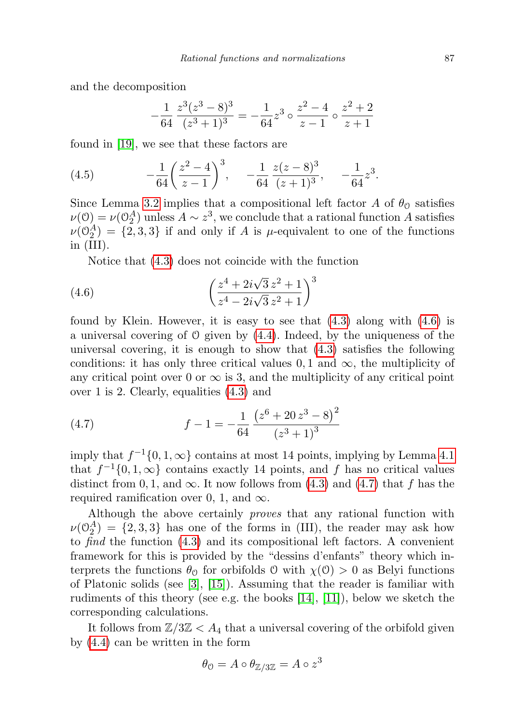and the decomposition

$$
-\frac{1}{64} \frac{z^3 (z^3 - 8)^3}{(z^3 + 1)^3} = -\frac{1}{64} z^3 \circ \frac{z^2 - 4}{z - 1} \circ \frac{z^2 + 2}{z + 1}
$$

found in [\[19\]](#page-27-14), we see that these factors are

<span id="page-14-2"></span>(4.5) 
$$
-\frac{1}{64} \left(\frac{z^2-4}{z-1}\right)^3, \quad -\frac{1}{64} \frac{z(z-8)^3}{(z+1)^3}, \quad -\frac{1}{64} z^3.
$$

Since Lemma [3.2](#page-11-0) implies that a compositional left factor A of  $\theta_0$  satisfies  $\nu(0) = \nu(0_2^A)$  unless  $A \sim z^3$ , we conclude that a rational function A satisfies  $\nu(\mathbb{O}_2^A) = \{2,3,3\}$  if and only if A is  $\mu$ -equivalent to one of the functions in (III).

Notice that [\(4.3\)](#page-13-2) does not coincide with the function

<span id="page-14-0"></span>(4.6) 
$$
\left(\frac{z^4 + 2i\sqrt{3}z^2 + 1}{z^4 - 2i\sqrt{3}z^2 + 1}\right)^3
$$

found by Klein. However, it is easy to see that  $(4.3)$  along with  $(4.6)$  is a universal covering of  $\mathcal O$  given by  $(4.4)$ . Indeed, by the uniqueness of the universal covering, it is enough to show that [\(4.3\)](#page-13-2) satisfies the following conditions: it has only three critical values  $0, 1$  and  $\infty$ , the multiplicity of any critical point over 0 or  $\infty$  is 3, and the multiplicity of any critical point over 1 is 2. Clearly, equalities [\(4.3\)](#page-13-2) and

<span id="page-14-1"></span>(4.7) 
$$
f - 1 = -\frac{1}{64} \frac{\left(z^6 + 20 z^3 - 8\right)^2}{\left(z^3 + 1\right)^3}
$$

imply that  $f^{-1}\{0, 1, \infty\}$  contains at most 14 points, implying by Lemma [4.1](#page-12-0) that  $f^{-1}\{0, 1, \infty\}$  contains exactly 14 points, and f has no critical values distinct from 0, 1, and  $\infty$ . It now follows from [\(4.3\)](#page-13-2) and [\(4.7\)](#page-14-1) that f has the required ramification over 0, 1, and  $\infty$ .

Although the above certainly proves that any rational function with  $\nu(\mathbb{O}_2^A) = \{2,3,3\}$  has one of the forms in (III), the reader may ask how to find the function [\(4.3\)](#page-13-2) and its compositional left factors. A convenient framework for this is provided by the "dessins d'enfants" theory which interprets the functions  $\theta_0$  for orbifolds O with  $\chi(0) > 0$  as Belyi functions of Platonic solids (see  $\lbrack 3 \rbrack$ ,  $\lbrack 15 \rbrack$ ). Assuming that the reader is familiar with rudiments of this theory (see e.g. the books  $[14]$ ,  $[11]$ ), below we sketch the corresponding calculations.

It follows from  $\mathbb{Z}/3\mathbb{Z} < A_4$  that a universal covering of the orbifold given by [\(4.4\)](#page-13-3) can be written in the form

$$
\theta_{\mathcal{O}} = A \circ \theta_{\mathbb{Z}/3\mathbb{Z}} = A \circ z^3
$$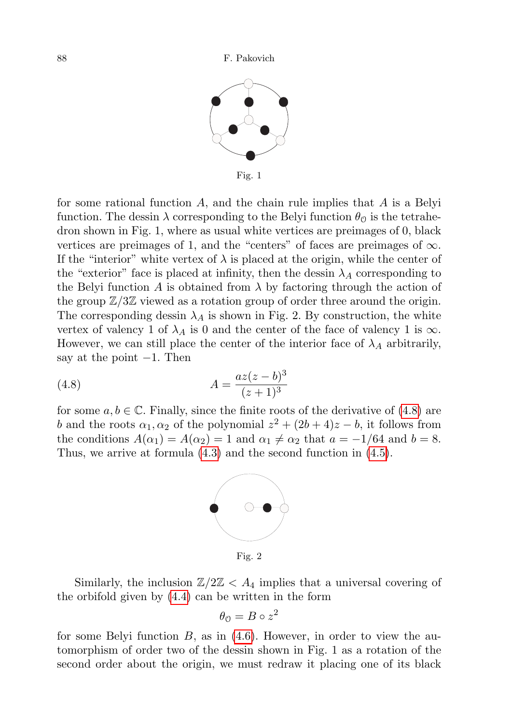

Fig. 1

for some rational function  $A$ , and the chain rule implies that  $A$  is a Belyi function. The dessin  $\lambda$  corresponding to the Belyi function  $\theta_0$  is the tetrahedron shown in Fig. 1, where as usual white vertices are preimages of 0, black vertices are preimages of 1, and the "centers" of faces are preimages of  $\infty$ . If the "interior" white vertex of  $\lambda$  is placed at the origin, while the center of the "exterior" face is placed at infinity, then the dessin  $\lambda_A$  corresponding to the Belyi function A is obtained from  $\lambda$  by factoring through the action of the group  $\mathbb{Z}/3\mathbb{Z}$  viewed as a rotation group of order three around the origin. The corresponding dessin  $\lambda_A$  is shown in Fig. 2. By construction, the white vertex of valency 1 of  $\lambda_A$  is 0 and the center of the face of valency 1 is  $\infty$ . However, we can still place the center of the interior face of  $\lambda_A$  arbitrarily, say at the point  $-1$ . Then

<span id="page-15-0"></span>(4.8) 
$$
A = \frac{az(z-b)^3}{(z+1)^3}
$$

for some  $a, b \in \mathbb{C}$ . Finally, since the finite roots of the derivative of [\(4.8\)](#page-15-0) are b and the roots  $\alpha_1, \alpha_2$  of the polynomial  $z^2 + (2b + 4)z - b$ , it follows from the conditions  $A(\alpha_1) = A(\alpha_2) = 1$  and  $\alpha_1 \neq \alpha_2$  that  $a = -1/64$  and  $b = 8$ . Thus, we arrive at formula [\(4.3\)](#page-13-2) and the second function in [\(4.5\)](#page-14-2).



Fig. 2

Similarly, the inclusion  $\mathbb{Z}/2\mathbb{Z} < A_4$  implies that a universal covering of the orbifold given by [\(4.4\)](#page-13-3) can be written in the form

$$
\theta_{0} = B \circ z^{2}
$$

for some Belyi function  $B$ , as in  $(4.6)$ . However, in order to view the automorphism of order two of the dessin shown in Fig. 1 as a rotation of the second order about the origin, we must redraw it placing one of its black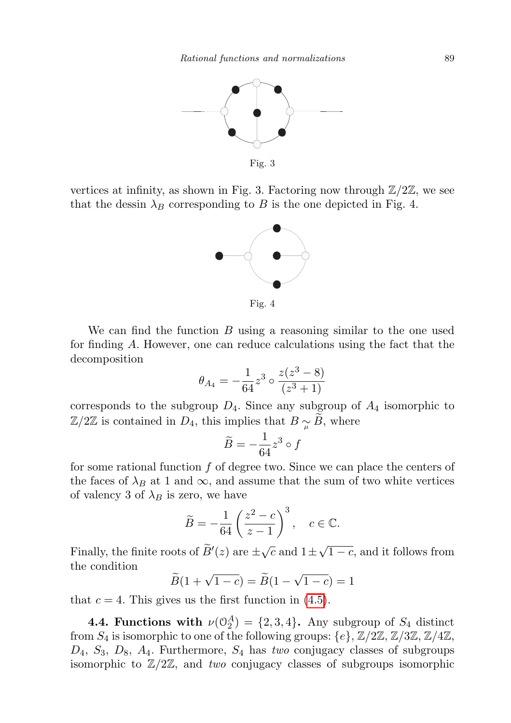

vertices at infinity, as shown in Fig. 3. Factoring now through  $\mathbb{Z}/2\mathbb{Z}$ , we see that the dessin  $\lambda_B$  corresponding to B is the one depicted in Fig. 4.



Fig. 4

We can find the function  $B$  using a reasoning similar to the one used for finding A. However, one can reduce calculations using the fact that the decomposition

$$
\theta_{A_4} = -\frac{1}{64} z^3 \circ \frac{z(z^3 - 8)}{(z^3 + 1)}
$$

corresponds to the subgroup  $D_4$ . Since any subgroup of  $A_4$  isomorphic to  $\mathbb{Z}/2\mathbb{Z}$  is contained in  $D_4$ , this implies that  $B \sim B$ , where

$$
\widetilde{B}=-\frac{1}{64}z^3\circ f
$$

for some rational function  $f$  of degree two. Since we can place the centers of the faces of  $\lambda_B$  at 1 and  $\infty$ , and assume that the sum of two white vertices of valency 3 of  $\lambda_B$  is zero, we have

$$
\widetilde{B} = -\frac{1}{64} \left( \frac{z^2 - c}{z - 1} \right)^3, \quad c \in \mathbb{C}.
$$

Finally, the finite roots of  $\widetilde{B}'(z)$  are  $\pm \sqrt{c}$  and  $1 \pm \sqrt{c}$  $1 - c$ , and it follows from the condition √

$$
\widetilde{B}(1+\sqrt{1-c})=\widetilde{B}(1-\sqrt{1-c})=1
$$

that  $c = 4$ . This gives us the first function in  $(4.5)$ .

**4.4. Functions with**  $\nu(\mathbb{O}_2^A) = \{2, 3, 4\}$ . Any subgroup of  $S_4$  distinct from  $S_4$  is isomorphic to one of the following groups:  $\{e\}$ ,  $\mathbb{Z}/2\mathbb{Z}$ ,  $\mathbb{Z}/3\mathbb{Z}$ ,  $\mathbb{Z}/4\mathbb{Z}$ ,  $D_4$ ,  $S_3$ ,  $D_8$ ,  $A_4$ . Furthermore,  $S_4$  has two conjugacy classes of subgroups isomorphic to  $\mathbb{Z}/2\mathbb{Z}$ , and two conjugacy classes of subgroups isomorphic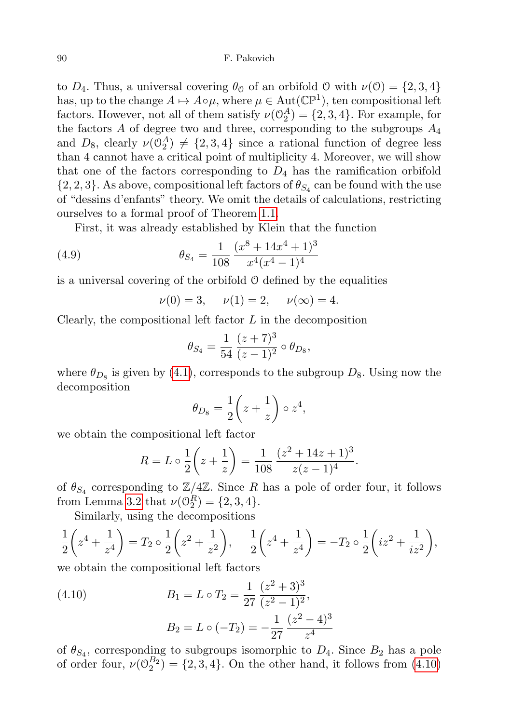to  $D_4$ . Thus, a universal covering  $\theta_0$  of an orbifold O with  $\nu(0) = \{2, 3, 4\}$ has, up to the change  $A \mapsto A \circ \mu$ , where  $\mu \in \text{Aut}(\mathbb{CP}^1)$ , ten compositional left factors. However, not all of them satisfy  $\nu(\mathcal{O}_2^A) = \{2, 3, 4\}$ . For example, for the factors  $A$  of degree two and three, corresponding to the subgroups  $A_4$ and  $D_8$ , clearly  $\nu(\mathbb{O}_2^A) \neq \{2,3,4\}$  since a rational function of degree less than 4 cannot have a critical point of multiplicity 4. Moreover, we will show that one of the factors corresponding to  $D_4$  has the ramification orbifold  $\{2,2,3\}$ . As above, compositional left factors of  $\theta_{S_4}$  can be found with the use of "dessins d'enfants" theory. We omit the details of calculations, restricting ourselves to a formal proof of Theorem [1.1.](#page-2-0)

First, it was already established by Klein that the function

<span id="page-17-1"></span>(4.9) 
$$
\theta_{S_4} = \frac{1}{108} \frac{(x^8 + 14x^4 + 1)^3}{x^4 (x^4 - 1)^4}
$$

is a universal covering of the orbifold O defined by the equalities

$$
\nu(0) = 3
$$
,  $\nu(1) = 2$ ,  $\nu(\infty) = 4$ .

Clearly, the compositional left factor  $L$  in the decomposition

$$
\theta_{S_4} = \frac{1}{54} \frac{(z+7)^3}{(z-1)^2} \circ \theta_{D_8},
$$

where  $\theta_{D_8}$  is given by [\(4.1\)](#page-13-0), corresponds to the subgroup  $D_8$ . Using now the decomposition

$$
\theta_{D_8} = \frac{1}{2} \left( z + \frac{1}{z} \right) \circ z^4,
$$

we obtain the compositional left factor

$$
R = L \circ \frac{1}{2} \left( z + \frac{1}{z} \right) = \frac{1}{108} \frac{(z^2 + 14z + 1)^3}{z(z - 1)^4}.
$$

of  $\theta_{S_4}$  corresponding to  $\mathbb{Z}/4\mathbb{Z}$ . Since R has a pole of order four, it follows from Lemma [3.2](#page-11-0) that  $\nu(\mathcal{O}_2^R) = \{2, 3, 4\}.$ 

Similarly, using the decompositions

$$
\frac{1}{2}\left(z^4 + \frac{1}{z^4}\right) = T_2 \circ \frac{1}{2}\left(z^2 + \frac{1}{z^2}\right), \quad \frac{1}{2}\left(z^4 + \frac{1}{z^4}\right) = -T_2 \circ \frac{1}{2}\left(iz^2 + \frac{1}{iz^2}\right),
$$

we obtain the compositional left factors

<span id="page-17-0"></span>(4.10) 
$$
B_1 = L \circ T_2 = \frac{1}{27} \frac{(z^2 + 3)^3}{(z^2 - 1)^2},
$$

$$
B_2 = L \circ (-T_2) = -\frac{1}{27} \frac{(z^2 - 4)^3}{z^4}
$$

of  $\theta_{S_4}$ , corresponding to subgroups isomorphic to  $D_4$ . Since  $B_2$  has a pole of order four,  $\nu(\mathbb{O}_2^{B_2}) = \{2, 3, 4\}$ . On the other hand, it follows from  $(4.10)$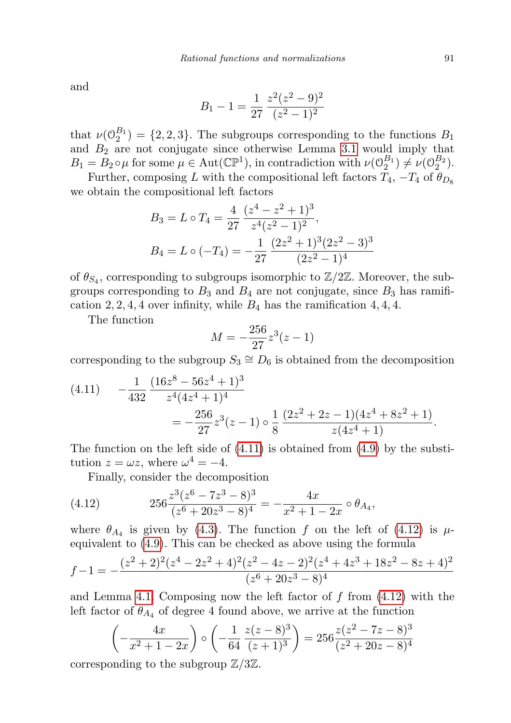and

$$
B_1 - 1 = \frac{1}{27} \frac{z^2 (z^2 - 9)^2}{(z^2 - 1)^2}
$$

that  $\nu(\mathbb{O}_2^{B_1}) = \{2, 2, 3\}$ . The subgroups corresponding to the functions  $B_1$ and  $B_2$  are not conjugate since otherwise Lemma [3.1](#page-10-4) would imply that  $B_1 = B_2 \circ \mu$  for some  $\mu \in \text{Aut}(\mathbb{CP}^1)$ , in contradiction with  $\nu(\mathcal{O}_2^{B_1}) \neq \nu(\mathcal{O}_2^{B_2})$ .

Further, composing L with the compositional left factors  $T_4$ ,  $-T_4$  of  $\theta_{D_8}$ we obtain the compositional left factors

$$
B_3 = L \circ T_4 = \frac{4}{27} \frac{(z^4 - z^2 + 1)^3}{z^4 (z^2 - 1)^2},
$$
  
\n
$$
B_4 = L \circ (-T_4) = -\frac{1}{27} \frac{(2z^2 + 1)^3 (2z^2 - 3)^3}{(2z^2 - 1)^4}
$$

of  $\theta_{S_4}$ , corresponding to subgroups isomorphic to  $\mathbb{Z}/2\mathbb{Z}$ . Moreover, the subgroups corresponding to  $B_3$  and  $B_4$  are not conjugate, since  $B_3$  has ramification 2, 2, 4, 4 over infinity, while  $B_4$  has the ramification 4, 4, 4.

The function

$$
M = -\frac{256}{27}z^3(z-1)
$$

corresponding to the subgroup  $S_3 \cong D_6$  is obtained from the decomposition

<span id="page-18-0"></span>(4.11) 
$$
-\frac{1}{432} \frac{(16z^8 - 56z^4 + 1)^3}{z^4 (4z^4 + 1)^4} = -\frac{256}{27} z^3 (z - 1) \circ \frac{1}{8} \frac{(2z^2 + 2z - 1)(4z^4 + 8z^2 + 1)}{z (4z^4 + 1)}.
$$

The function on the left side of  $(4.11)$  is obtained from  $(4.9)$  by the substitution  $z = \omega z$ , where  $\omega^4 = -4$ .

Finally, consider the decomposition

<span id="page-18-1"></span>(4.12) 
$$
256 \frac{z^3 (z^6 - 7z^3 - 8)^3}{(z^6 + 20z^3 - 8)^4} = -\frac{4x}{x^2 + 1 - 2x} \circ \theta_{A_4},
$$

where  $\theta_{A_4}$  is given by [\(4.3\)](#page-13-2). The function f on the left of [\(4.12\)](#page-18-1) is  $\mu$ equivalent to [\(4.9\)](#page-17-1). This can be checked as above using the formula

$$
f-1 = -\frac{(z^2+2)^2(z^4-2z^2+4)^2(z^2-4z-2)^2(z^4+4z^3+18z^2-8z+4)^2}{(z^6+20z^3-8)^4}
$$

and Lemma [4.1.](#page-12-0) Composing now the left factor of  $f$  from  $(4.12)$  with the left factor of  $\theta_{A_4}$  of degree 4 found above, we arrive at the function

$$
\left(-\frac{4x}{x^2+1-2x}\right) \circ \left(-\frac{1}{64} \frac{z(z-8)^3}{(z+1)^3}\right) = 256 \frac{z(z^2-7z-8)^3}{(z^2+20z-8)^4}
$$

corresponding to the subgroup  $\mathbb{Z}/3\mathbb{Z}$ .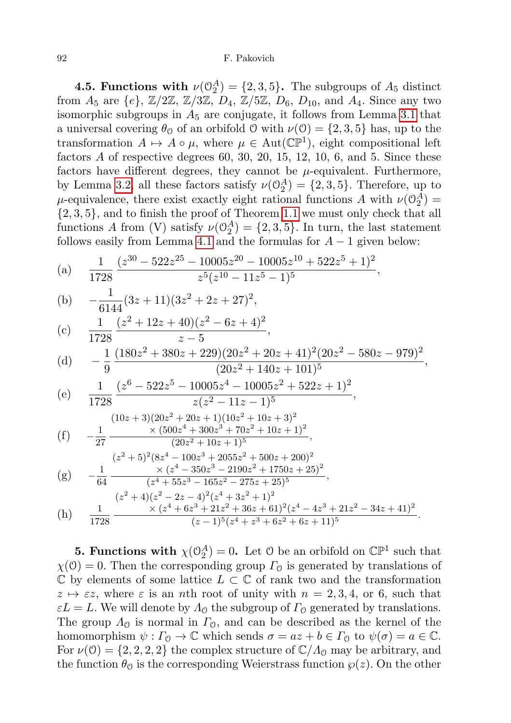#### 92 F. Pakovich

**4.5. Functions with**  $\nu(\mathbb{O}_2^A) = \{2, 3, 5\}$ . The subgroups of  $A_5$  distinct from  $A_5$  are  $\{e\}$ ,  $\mathbb{Z}/2\mathbb{Z}$ ,  $\mathbb{Z}/3\mathbb{Z}$ ,  $D_4$ ,  $\mathbb{Z}/5\mathbb{Z}$ ,  $D_6$ ,  $D_{10}$ , and  $A_4$ . Since any two isomorphic subgroups in  $A_5$  are conjugate, it follows from Lemma [3.1](#page-10-4) that a universal covering  $\theta_0$  of an orbifold  $\theta$  with  $\nu(\theta) = \{2, 3, 5\}$  has, up to the transformation  $A \mapsto A \circ \mu$ , where  $\mu \in Aut(\mathbb{CP}^1)$ , eight compositional left factors  $A$  of respective degrees 60, 30, 20, 15, 12, 10, 6, and 5. Since these factors have different degrees, they cannot be  $\mu$ -equivalent. Furthermore, by Lemma [3.2,](#page-11-0) all these factors satisfy  $\nu(\mathbb{O}_2^A) = \{2, 3, 5\}$ . Therefore, up to  $\mu$ -equivalence, there exist exactly eight rational functions A with  $\nu(\mathcal{O}_2^A)$  =  $\{2,3,5\}$ , and to finish the proof of Theorem [1.1](#page-2-0) we must only check that all functions A from (V) satisfy  $\nu(\mathcal{O}_2^A) = \{2, 3, 5\}$ . In turn, the last statement follows easily from Lemma [4.1](#page-12-0) and the formulas for  $A - 1$  given below:

(a) 
$$
\frac{1}{1728} \frac{(z^{30} - 522z^{25} - 10005z^{20} - 10005z^{10} + 522z^5 + 1)^2}{z^5 (z^{10} - 11z^5 - 1)^5},
$$

(b) 
$$
-\frac{1}{6144}(3z+11)(3z^2+2z+27)^2
$$

(c) 
$$
\frac{1}{1728} \frac{(z^2 + 12z + 40)(z^2 - 6z + 4)^2}{z - 5},
$$

(d) 
$$
-\frac{1}{9} \frac{(180z^2 + 380z + 229)(20z^2 + 20z + 41)^2(20z^2 - 580z - 979)^2}{(20z^2 + 140z + 101)^5},
$$

,

,

(e) 
$$
\frac{1}{1728} \frac{(z^6 - 522z^5 - 10005z^4 - 10005z^2 + 522z + 1)^2}{z(z^2 - 11z - 1)^5}
$$

$$
(10z + 3)(20z2 + 20z + 1)(10z2 + 10z + 3)2
$$
  
\n
$$
(f) -\frac{1}{27} \frac{\times (500z4 + 300z3 + 70z2 + 10z + 1)2}{(20z2 + 10z + 1)5},
$$
  
\n
$$
(z2 + 5)2(8z4 - 100z3 + 2055z2 + 500z + 200)2
$$
  
\n(g) 
$$
-\frac{1}{64} \frac{\times (z4 - 350z3 - 2190z2 + 1750z + 25)2}{(z4 + 55z3 - 165z2 - 275z + 25)5},
$$
  
\n
$$
(z2 + 4)(z2 - 2z - 4)2(z4 + 3z2 + 1)2
$$
  
\n(h) 
$$
\frac{1}{1799} \frac{\times (z4 + 6z3 + 21z2 + 36z + 61)2(z4 - 4z3 + 21z2 - 34z + 41)2}{(z4 + 6z3 + 21z2 + 36z + 61)2(z4 - 4z3 + 21z2 - 34z + 41)2}.
$$

(h) 
$$
\frac{1}{1728} \frac{\times (z^4 + 6z^3 + 21z^2 + 36z + 61)^2 (z^4 - 4z^3 + 21z^2 - 34z + 6z^2)}{(z - 1)^5 (z^4 + z^3 + 6z^2 + 6z + 11)^5}
$$

**5. Functions with**  $\chi(\mathbb{O}_2^A) = 0$ . Let 0 be an orbifold on  $\mathbb{CP}^1$  such that  $\chi(\mathcal{O}) = 0$ . Then the corresponding group  $\Gamma_{\mathcal{O}}$  is generated by translations of  $\mathbb C$  by elements of some lattice  $L \subset \mathbb C$  of rank two and the transformation  $z \mapsto \varepsilon z$ , where  $\varepsilon$  is an nth root of unity with  $n = 2, 3, 4$ , or 6, such that  $\varepsilon L = L$ . We will denote by  $\Lambda_0$  the subgroup of  $\Gamma_0$  generated by translations. The group  $\Lambda_0$  is normal in  $\Gamma_0$ , and can be described as the kernel of the homomorphism  $\psi : \Gamma_0 \to \mathbb{C}$  which sends  $\sigma = az + b \in \Gamma_0$  to  $\psi(\sigma) = a \in \mathbb{C}$ . For  $\nu(0) = \{2, 2, 2, 2\}$  the complex structure of  $\mathbb{C}/\Lambda_0$  may be arbitrary, and the function  $\theta_0$  is the corresponding Weierstrass function  $\varphi(z)$ . On the other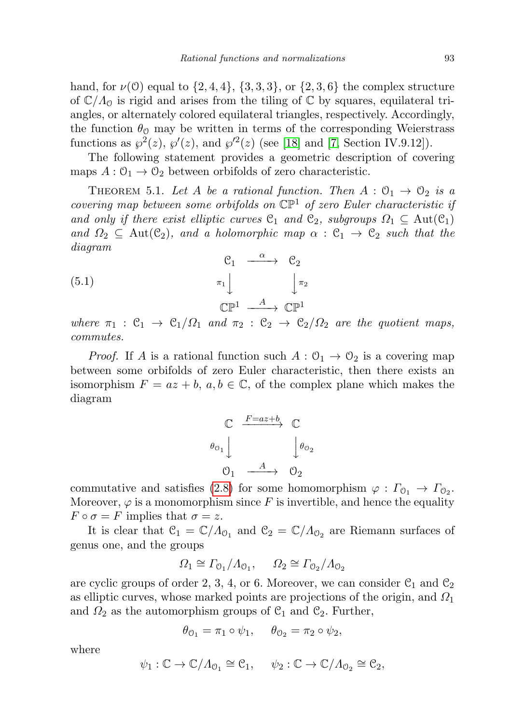hand, for  $\nu(0)$  equal to  $\{2, 4, 4\}$ ,  $\{3, 3, 3\}$ , or  $\{2, 3, 6\}$  the complex structure of  $\mathbb{C}/\Lambda_{\mathcal{O}}$  is rigid and arises from the tiling of  $\mathbb{C}$  by squares, equilateral triangles, or alternately colored equilateral triangles, respectively. Accordingly, the function  $\theta_{\rm O}$  may be written in terms of the corresponding Weierstrass functions as  $\wp^2(z)$ ,  $\wp'(z)$ , and  $\wp'^2(z)$  (see [\[18\]](#page-27-15) and [\[7,](#page-26-7) Section IV.9.12]).

The following statement provides a geometric description of covering maps  $A: \mathcal{O}_1 \to \mathcal{O}_2$  between orbifolds of zero characteristic.

<span id="page-20-1"></span>THEOREM 5.1. Let A be a rational function. Then  $A: \mathcal{O}_1 \to \mathcal{O}_2$  is a covering map between some orbifolds on  $\mathbb{CP}^1$  of zero Euler characteristic if and only if there exist elliptic curves  $\mathfrak{C}_1$  and  $\mathfrak{C}_2$ , subgroups  $\Omega_1 \subseteq \text{Aut}(\mathfrak{C}_1)$ and  $\Omega_2 \subseteq \text{Aut}(\mathcal{C}_2)$ , and a holomorphic map  $\alpha : \mathcal{C}_1 \to \mathcal{C}_2$  such that the diagram

<span id="page-20-0"></span>(5.1) 
$$
\begin{array}{ccc}\n C_1 & \xrightarrow{\alpha} & C_2 \\
\pi_1 & & \pi_2 \\
\mathbb{C}\mathbb{P}^1 & \xrightarrow{A} & \mathbb{C}\mathbb{P}^1\n\end{array}
$$

where  $\pi_1 : \mathfrak{C}_1 \to \mathfrak{C}_1/\Omega_1$  and  $\pi_2 : \mathfrak{C}_2 \to \mathfrak{C}_2/\Omega_2$  are the quotient maps, commutes.

*Proof.* If A is a rational function such  $A: \mathcal{O}_1 \to \mathcal{O}_2$  is a covering map between some orbifolds of zero Euler characteristic, then there exists an isomorphism  $F = az + b, a, b \in \mathbb{C}$ , of the complex plane which makes the diagram

$$
\begin{array}{ccc}\n\mathbb{C} & \xrightarrow{F = az + b} & \mathbb{C} \\
\downarrow \theta_{0_1} & & \downarrow \theta_{0_2} \\
\downarrow \theta_1 & \xrightarrow{A} & \mathbb{O}_2\n\end{array}
$$

commutative and satisfies [\(2.8\)](#page-6-0) for some homomorphism  $\varphi : \Gamma_{0_1} \to \Gamma_{0_2}$ . Moreover,  $\varphi$  is a monomorphism since F is invertible, and hence the equality  $F \circ \sigma = F$  implies that  $\sigma = z$ .

It is clear that  $C_1 = \mathbb{C}/\Lambda_{0_1}$  and  $C_2 = \mathbb{C}/\Lambda_{0_2}$  are Riemann surfaces of genus one, and the groups

$$
\Omega_1 \cong \Gamma_{\mathcal{O}_1} / \Lambda_{\mathcal{O}_1}, \qquad \Omega_2 \cong \Gamma_{\mathcal{O}_2} / \Lambda_{\mathcal{O}_2}
$$

are cyclic groups of order 2, 3, 4, or 6. Moreover, we can consider  $\mathcal{C}_1$  and  $\mathcal{C}_2$ as elliptic curves, whose marked points are projections of the origin, and  $\Omega_1$ and  $\Omega_2$  as the automorphism groups of  $\mathfrak{C}_1$  and  $\mathfrak{C}_2$ . Further,

$$
\theta_{0_1} = \pi_1 \circ \psi_1, \quad \theta_{0_2} = \pi_2 \circ \psi_2,
$$

where

$$
\psi_1 : \mathbb{C} \to \mathbb{C}/\Lambda_{0_1} \cong \mathcal{C}_1, \quad \psi_2 : \mathbb{C} \to \mathbb{C}/\Lambda_{0_2} \cong \mathcal{C}_2,
$$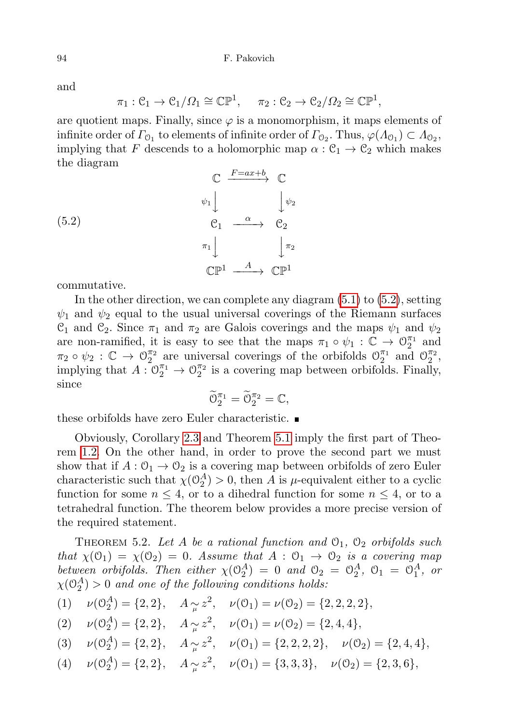and

$$
\pi_1: \mathcal{C}_1 \to \mathcal{C}_1/\Omega_1 \cong \mathbb{CP}^1, \quad \pi_2: \mathcal{C}_2 \to \mathcal{C}_2/\Omega_2 \cong \mathbb{CP}^1,
$$

are quotient maps. Finally, since  $\varphi$  is a monomorphism, it maps elements of infinite order of  $\Gamma_{0_1}$  to elements of infinite order of  $\Gamma_{0_2}$ . Thus,  $\varphi(\Lambda_{0_1}) \subset \Lambda_{0_2}$ , implying that F descends to a holomorphic map  $\alpha : \mathfrak{C}_1 \to \mathfrak{C}_2$  which makes the diagram

<span id="page-21-0"></span>

commutative.

In the other direction, we can complete any diagram [\(5.1\)](#page-20-0) to [\(5.2\)](#page-21-0), setting  $\psi_1$  and  $\psi_2$  equal to the usual universal coverings of the Riemann surfaces  $\mathcal{C}_1$  and  $\mathcal{C}_2$ . Since  $\pi_1$  and  $\pi_2$  are Galois coverings and the maps  $\psi_1$  and  $\psi_2$ are non-ramified, it is easy to see that the maps  $\pi_1 \circ \psi_1 : \mathbb{C} \to \mathbb{O}_2^{\pi_1}$  and  $\pi_2 \circ \psi_2 : \mathbb{C} \to \mathbb{O}_2^{\pi_2}$  are universal coverings of the orbifolds  $\mathbb{O}_2^{\pi_1}$  and  $\mathbb{O}_2^{\pi_2}$ , implying that  $A: \mathbb{O}_2^{\pi_1} \to \mathbb{O}_2^{\pi_2}$  is a covering map between orbifolds. Finally, since

$$
\widetilde{\mathcal{O}}_2^{\pi_1} = \widetilde{\mathcal{O}}_2^{\pi_2} = \mathbb{C},
$$

these orbifolds have zero Euler characteristic.

Obviously, Corollary [2.3](#page-8-2) and Theorem [5.1](#page-20-1) imply the first part of Theorem [1.2.](#page-4-1) On the other hand, in order to prove the second part we must show that if  $A: \mathcal{O}_1 \to \mathcal{O}_2$  is a covering map between orbifolds of zero Euler characteristic such that  $\chi(\mathcal{O}_2^A) > 0$ , then A is  $\mu$ -equivalent either to a cyclic function for some  $n \leq 4$ , or to a dihedral function for some  $n \leq 4$ , or to a tetrahedral function. The theorem below provides a more precise version of the required statement.

<span id="page-21-1"></span>THEOREM 5.2. Let A be a rational function and  $\mathcal{O}_1$ ,  $\mathcal{O}_2$  orbifolds such that  $\chi(\mathcal{O}_1) = \chi(\mathcal{O}_2) = 0$ . Assume that  $A : \mathcal{O}_1 \to \mathcal{O}_2$  is a covering map between orbifolds. Then either  $\chi(\mathcal{O}_2^A) = 0$  and  $\mathcal{O}_2 = \mathcal{O}_2^A$ ,  $\mathcal{O}_1 = \mathcal{O}_1^A$ , or  $\chi(\mathbb{O}_2^A)>0$  and one of the following conditions holds:

(1) 
$$
\nu(\mathbb{O}_2^A) = \{2, 2\}, \quad A_{\sim \mu} z^2, \quad \nu(\mathbb{O}_1) = \nu(\mathbb{O}_2) = \{2, 2, 2, 2\},
$$

(2) 
$$
\nu(\mathcal{O}_2^A) = \{2, 2\}, \quad A_{\widetilde{\mu}} z^2, \quad \nu(\mathcal{O}_1) = \nu(\mathcal{O}_2) = \{2, 4, 4\},
$$

(3) 
$$
\nu(\mathbb{O}_2^A) = \{2, 2\}, \quad A_{\sim \mu} z^2, \quad \nu(\mathbb{O}_1) = \{2, 2, 2, 2\}, \quad \nu(\mathbb{O}_2) = \{2, 4, 4\},
$$

(4) 
$$
\nu(\mathbb{O}_2^A) = \{2, 2\}, \quad A_{\sim \mu} z^2, \quad \nu(\mathbb{O}_1) = \{3, 3, 3\}, \quad \nu(\mathbb{O}_2) = \{2, 3, 6\},
$$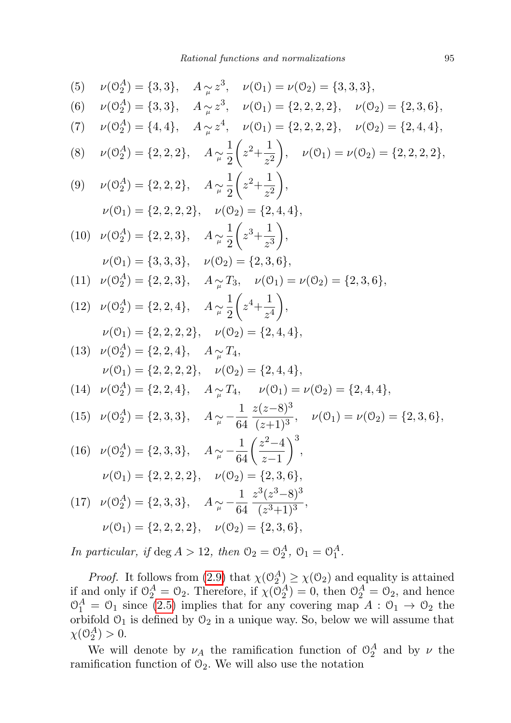(5) 
$$
\nu(\theta_2^A) = \{3,3\}, A_{\mu} z^3, \nu(0_1) = \nu(0_2) = \{3,3,3\},
$$
  
\n(6)  $\nu(\theta_2^A) = \{3,3\}, A_{\mu} z^3, \nu(0_1) = \{2,2,2,2\}, \nu(0_2) = \{2,3,6\},$   
\n(7)  $\nu(\theta_2^A) = \{4,4\}, A_{\mu} z^4, \nu(0_1) = \{2,2,2,2\}, \nu(0_2) = \{2,4,4\},$   
\n(8)  $\nu(\theta_2^A) = \{2,2,2\}, A_{\mu} \frac{1}{2} \left(z^2 + \frac{1}{z^2}\right), \nu(0_1) = \nu(0_2) = \{2,2,2,2\},$   
\n(9)  $\nu(\theta_2^A) = \{2,2,2\}, A_{\mu} \frac{1}{2} \left(z^2 + \frac{1}{z^2}\right),$   
\n $\nu(0_1) = \{2,2,2,2\}, \nu(0_2) = \{2,4,4\},$   
\n(10)  $\nu(\theta_2^A) = \{2,2,3\}, A_{\mu} \frac{1}{2} \left(z^3 + \frac{1}{z^3}\right),$   
\n $\nu(0_1) = \{3,3,3\}, \nu(0_2) = \{2,3,6\},$   
\n(11)  $\nu(\theta_2^A) = \{2,2,3\}, A_{\mu} \frac{1}{2} \left(z^4 + \frac{1}{z^4}\right),$   
\n $\nu(0_1) = \{2,2,2,4\}, A_{\mu} \frac{1}{2} \left(z^4 + \frac{1}{z^4}\right),$   
\n $\nu(0_1) = \{2,2,2,2\}, \nu(0_2) = \{2,4,4\},$   
\n(13)  $\nu(\theta_2^A) = \{2,2,4\}, A_{\mu} \frac{1}{2} \left(z^4 + \frac{1}{z^4}\right),$   
\n $\nu(0_1) = \{2,2,2,2\}, \nu(0_2) = \{2,4,4\},$   
\n(1

In particular, if  $\deg A > 12$ , then  $\mathcal{O}_2 = \mathcal{O}_2^A$ ,  $\mathcal{O}_1 = \mathcal{O}_1^A$ .

*Proof.* It follows from [\(2.9\)](#page-7-1) that  $\chi(\mathcal{O}_2^A) \geq \chi(\mathcal{O}_2)$  and equality is attained if and only if  $\mathcal{O}_2^A = \mathcal{O}_2$ . Therefore, if  $\chi(\mathcal{O}_2^A) = 0$ , then  $\mathcal{O}_2^A = \mathcal{O}_2$ , and hence  $\mathcal{O}_1^A = \mathcal{O}_1$  since [\(2.5\)](#page-6-3) implies that for any covering map  $A : \mathcal{O}_1 \to \mathcal{O}_2$  the orbifold  $O_1$  is defined by  $O_2$  in a unique way. So, below we will assume that  $\chi(\mathcal{O}_2^A) > 0.$ 

We will denote by  $\nu_A$  the ramification function of  $\mathcal{O}_2^A$  and by  $\nu$  the ramification function of  $\mathcal{O}_2$ . We will also use the notation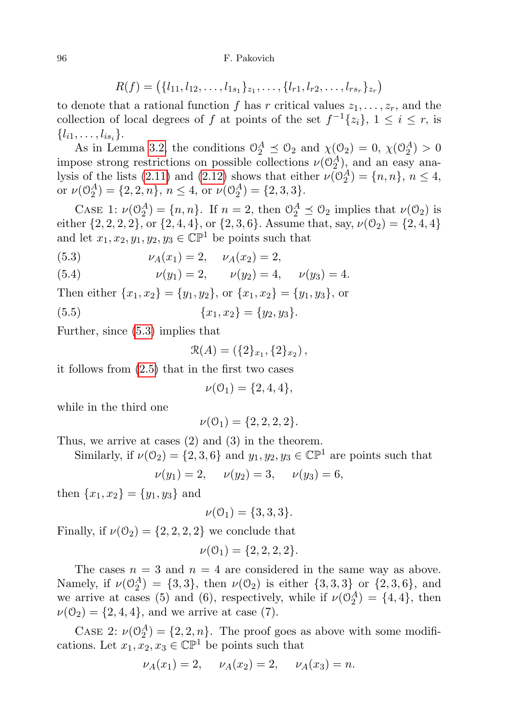$$
R(f) = (\{l_{11}, l_{12}, \ldots, l_{1s_1}\}_{z_1}, \ldots, \{l_{r1}, l_{r2}, \ldots, l_{rs_r}\}_{z_r})
$$

to denote that a rational function f has r critical values  $z_1, \ldots, z_r$ , and the collection of local degrees of f at points of the set  $f^{-1}{z_i}$ ,  $1 \le i \le r$ , is  $\{l_{i1}, \ldots, l_{is_i}\}.$ 

As in Lemma [3.2,](#page-11-0) the conditions  $\mathcal{O}_2^A \preceq \mathcal{O}_2$  and  $\chi(\mathcal{O}_2) = 0$ ,  $\chi(\mathcal{O}_2^A) > 0$ impose strong restrictions on possible collections  $\nu(\mathcal{O}_2^A)$ , and an easy ana-lysis of the lists [\(2.11\)](#page-8-0) and [\(2.12\)](#page-8-1) shows that either  $\nu(\mathbb{O}_2^A) = \{n, n\}, n \le 4$ , or  $\nu(\mathbb{O}_2^A) = \{2, 2, n\}, n \le 4$ , or  $\nu(\mathbb{O}_2^A) = \{2, 3, 3\}.$ 

CASE 1:  $\nu(\mathbb{O}_2^A) = \{n, n\}$ . If  $n = 2$ , then  $\mathbb{O}_2^A \preceq \mathbb{O}_2$  implies that  $\nu(\mathbb{O}_2)$  is either  $\{2, 2, 2, 2\}$ , or  $\{2, 4, 4\}$ , or  $\{2, 3, 6\}$ . Assume that, say,  $\nu(\mathcal{O}_2) = \{2, 4, 4\}$ and let  $x_1, x_2, y_1, y_2, y_3 \in \mathbb{CP}^1$  be points such that

<span id="page-23-1"></span><span id="page-23-0"></span>(5.3) 
$$
\nu_A(x_1) = 2, \quad \nu_A(x_2) = 2,
$$

(5.4) 
$$
\nu(y_1) = 2, \qquad \nu(y_2) = 4, \qquad \nu(y_3) = 4.
$$

Then either  $\{x_1, x_2\} = \{y_1, y_2\}$ , or  $\{x_1, x_2\} = \{y_1, y_3\}$ , or

<span id="page-23-2"></span>(5.5) 
$$
\{x_1, x_2\} = \{y_2, y_3\}.
$$

Further, since [\(5.3\)](#page-23-0) implies that

$$
\mathcal{R}(A) = (\{2\}_{x_1}, \{2\}_{x_2}),
$$

it follows from [\(2.5\)](#page-6-3) that in the first two cases

$$
\nu(0_1) = \{2, 4, 4\},\
$$

while in the third one

$$
\nu(0_1) = \{2, 2, 2, 2\}.
$$

Thus, we arrive at cases (2) and (3) in the theorem.

Similarly, if  $\nu(\mathcal{O}_2) = \{2, 3, 6\}$  and  $y_1, y_2, y_3 \in \mathbb{CP}^1$  are points such that

$$
\nu(y_1) = 2, \quad \nu(y_2) = 3, \quad \nu(y_3) = 6,
$$

then  $\{x_1, x_2\} = \{y_1, y_3\}$  and

$$
\nu(0_1) = \{3, 3, 3\}.
$$

Finally, if  $\nu(\mathcal{O}_2) = \{2, 2, 2, 2\}$  we conclude that

$$
\nu(0_1) = \{2, 2, 2, 2\}.
$$

The cases  $n = 3$  and  $n = 4$  are considered in the same way as above. Namely, if  $\nu(\mathbb{O}_2^A) = \{3, 3\}$ , then  $\nu(\mathbb{O}_2)$  is either  $\{3, 3, 3\}$  or  $\{2, 3, 6\}$ , and we arrive at cases (5) and (6), respectively, while if  $\nu(\mathcal{O}_2^A) = \{4, 4\}$ , then  $\nu(\mathcal{O}_2) = \{2, 4, 4\},\$ and we arrive at case (7).

CASE 2:  $\nu(\mathbb{O}_2^A) = \{2, 2, n\}$ . The proof goes as above with some modifications. Let  $x_1, x_2, x_3 \in \mathbb{CP}^1$  be points such that

$$
\nu_A(x_1) = 2, \quad \nu_A(x_2) = 2, \quad \nu_A(x_3) = n.
$$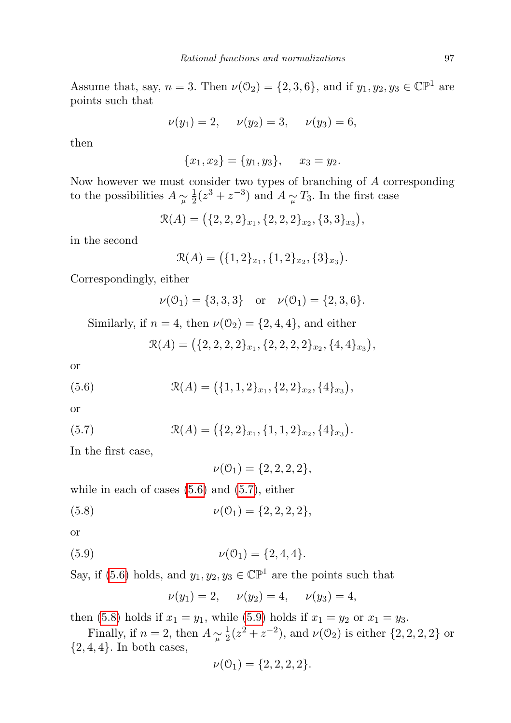Assume that, say,  $n = 3$ . Then  $\nu(\mathcal{O}_2) = \{2, 3, 6\}$ , and if  $y_1, y_2, y_3 \in \mathbb{CP}^1$  are points such that

$$
\nu(y_1) = 2, \quad \nu(y_2) = 3, \quad \nu(y_3) = 6,
$$

then

$$
\{x_1, x_2\} = \{y_1, y_3\}, \quad x_3 = y_2.
$$

Now however we must consider two types of branching of A corresponding to the possibilities  $A \underset{\mu}{\sim} \frac{1}{2}$  $\frac{1}{2}(z^3 + z^{-3})$  and  $A \sim T_3$ . In the first case

$$
\mathcal{R}(A) = (\{2,2,2\}_{x_1}, \{2,2,2\}_{x_2}, \{3,3\}_{x_3}),
$$

in the second

$$
\mathcal{R}(A) = (\{1,2\}_{x_1}, \{1,2\}_{x_2}, \{3\}_{x_3}).
$$

Correspondingly, either

$$
\nu(\mathcal{O}_1) = \{3, 3, 3\} \text{ or } \nu(\mathcal{O}_1) = \{2, 3, 6\}.
$$

Similarly, if  $n = 4$ , then  $\nu(\mathcal{O}_2) = \{2, 4, 4\}$ , and either

$$
\mathcal{R}(A) = \big(\{2, 2, 2, 2\}_{x_1}, \{2, 2, 2, 2\}_{x_2}, \{4, 4\}_{x_3}\big),
$$

or

<span id="page-24-0"></span>(5.6) 
$$
\mathcal{R}(A) = (\{1, 1, 2\}_{x_1}, \{2, 2\}_{x_2}, \{4\}_{x_3}),
$$

or

<span id="page-24-1"></span>(5.7) 
$$
\mathcal{R}(A) = (\{2,2\}_{x_1}, \{1,1,2\}_{x_2}, \{4\}_{x_3}).
$$

In the first case,

 $\nu(0_1) = \{2, 2, 2, 2\},\$ 

while in each of cases  $(5.6)$  and  $(5.7)$ , either

<span id="page-24-2"></span>(5.8) 
$$
\nu(0_1) = \{2, 2, 2, 2\},\
$$

or

<span id="page-24-3"></span>(5.9) 
$$
\nu(0_1) = \{2, 4, 4\}.
$$

Say, if [\(5.6\)](#page-24-0) holds, and  $y_1, y_2, y_3 \in \mathbb{CP}^1$  are the points such that

$$
\nu(y_1) = 2, \quad \nu(y_2) = 4, \quad \nu(y_3) = 4,
$$

then [\(5.8\)](#page-24-2) holds if  $x_1 = y_1$ , while [\(5.9\)](#page-24-3) holds if  $x_1 = y_2$  or  $x_1 = y_3$ .

Finally, if  $n = 2$ , then  $A \underset{\mu}{\sim} \frac{1}{2}$  $\frac{1}{2}(z^2 + z^{-2})$ , and  $\nu$ (0<sub>2</sub>) is either {2, 2, 2, 2} or  ${2, 4, 4}.$  In both cases,

$$
\nu(0_1) = \{2, 2, 2, 2\}.
$$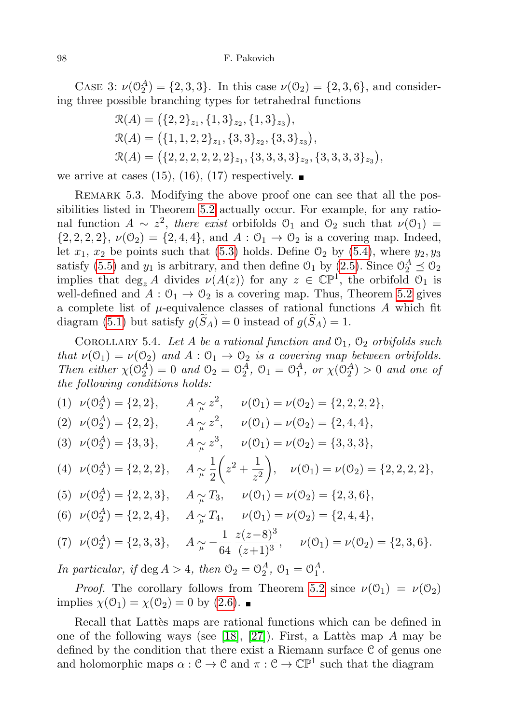#### 98 F. Pakovich

CASE 3:  $\nu(\mathbb{O}_2^A) = \{2, 3, 3\}$ . In this case  $\nu(\mathbb{O}_2) = \{2, 3, 6\}$ , and considering three possible branching types for tetrahedral functions

$$
\mathcal{R}(A) = (\{2, 2\}_{z_1}, \{1, 3\}_{z_2}, \{1, 3\}_{z_3}),
$$
  
\n
$$
\mathcal{R}(A) = (\{1, 1, 2, 2\}_{z_1}, \{3, 3\}_{z_2}, \{3, 3\}_{z_3}),
$$
  
\n
$$
\mathcal{R}(A) = (\{2, 2, 2, 2, 2, 2\}_{z_1}, \{3, 3, 3, 3\}_{z_2}, \{3, 3, 3, 3\}_{z_3}),
$$

we arrive at cases (15), (16), (17) respectively.  $\blacksquare$ 

REMARK 5.3. Modifying the above proof one can see that all the possibilities listed in Theorem [5.2](#page-21-1) actually occur. For example, for any rational function  $A \sim z^2$ , there exist orbifolds  $\mathcal{O}_1$  and  $\mathcal{O}_2$  such that  $\nu(\mathcal{O}_1)$  =  $\{2, 2, 2, 2\}, \nu(0_2) = \{2, 4, 4\}, \text{ and } A: 0_1 \to 0_2 \text{ is a covering map. Indeed, }$ let  $x_1, x_2$  be points such that [\(5.3\)](#page-23-0) holds. Define  $\mathcal{O}_2$  by [\(5.4\)](#page-23-1), where  $y_2, y_3$ satisfy [\(5.5\)](#page-23-2) and  $y_1$  is arbitrary, and then define  $\mathcal{O}_1$  by [\(2.5\)](#page-6-3). Since  $\mathcal{O}_2^A \preceq \mathcal{O}_2$ implies that  $\deg_z A$  divides  $\nu(A(z))$  for any  $z \in \mathbb{CP}^1$ , the orbifold  $\mathcal{O}_1$  is well-defined and  $A: \mathcal{O}_1 \to \mathcal{O}_2$  is a covering map. Thus, Theorem [5.2](#page-21-1) gives a complete list of  $\mu$ -equivalence classes of rational functions A which fit diagram [\(5.1\)](#page-20-0) but satisfy  $g(S_A) = 0$  instead of  $g(S_A) = 1$ .

<span id="page-25-0"></span>COROLLARY 5.4. Let A be a rational function and  $\mathcal{O}_1$ ,  $\mathcal{O}_2$  orbifolds such that  $\nu(\mathcal{O}_1) = \nu(\mathcal{O}_2)$  and  $A: \mathcal{O}_1 \to \mathcal{O}_2$  is a covering map between orbifolds. Then either  $\chi(\mathcal{O}_2^A) = 0$  and  $\mathcal{O}_2 = \mathcal{O}_2^A$ ,  $\mathcal{O}_1 = \mathcal{O}_1^A$ , or  $\chi(\mathcal{O}_2^A) > 0$  and one of the following conditions holds:

(1)  $\nu(\mathbb{O}_2^A) = \{2, 2\}, \qquad A \underset{\mu}{\sim} z^2, \qquad \nu(\mathbb{O}_1) = \nu(\mathbb{O}_2) = \{2, 2, 2, 2\},\$ (2)  $\nu(\mathbb{O}_2^A) = \{2, 2\}, \qquad A \underset{\mu}{\sim} z^2, \qquad \nu(\mathbb{O}_1) = \nu(\mathbb{O}_2) = \{2, 4, 4\},\$ (3)  $\nu(\mathbb{O}_2^A) = \{3, 3\}, \quad A \sim \mathbb{O}_4^3, \quad \nu(\mathbb{O}_1) = \nu(\mathbb{O}_2) = \{3, 3, 3\},\$  $\nu(\mathbb{O}_2^A) = \{2, 2, 2\}, \quad A \underset{\mu}{\sim} \frac{1}{2}$ 2  $\left( z^2 + \frac{1}{z} \right)$  $z^2$ (4)  $\nu(\mathbb{O}_2^A) = \{2, 2, 2\}, \quad A \sim \frac{1}{2} \left( z^2 + \frac{1}{z^2} \right), \quad \nu(\mathbb{O}_1) = \nu(\mathbb{O}_2) = \{2, 2, 2, 2\},\$ (5)  $\nu(\mathbb{O}_2^A) = \{2, 2, 3\}, \quad A \sim \mathbb{J}_1, \quad \nu(\mathbb{O}_1) = \nu(\mathbb{O}_2) = \{2, 3, 6\},\$ (6)  $\nu(\mathbb{O}_2^A) = \{2, 2, 4\}, \quad A \sim \mathbb{I}_\mu T_4, \quad \nu(\mathbb{O}_1) = \nu(\mathbb{O}_2) = \{2, 4, 4\},\$  $\nu(\mathbb{O}_2^A) = \{2, 3, 3\}, \quad A \sim -\frac{1}{64}$ 64  $z(z-8)^3$ (7)  $\nu(\mathbb{O}_2^A) = \{2, 3, 3\}, \quad A \sim \frac{1}{\mu} \frac{\sqrt{2}}{64} \frac{\sqrt{2}}{(z+1)^3}, \quad \nu(\mathbb{O}_1) = \nu(\mathbb{O}_2) = \{2, 3, 6\}.$ 

In particular, if deg  $A > 4$ , then  $\mathcal{O}_2 = \mathcal{O}_2^A$ ,  $\mathcal{O}_1 = \mathcal{O}_1^A$ .

*Proof.* The corollary follows from Theorem [5.2](#page-21-1) since  $\nu(\mathcal{O}_1) = \nu(\mathcal{O}_2)$ implies  $\chi(\mathcal{O}_1) = \chi(\mathcal{O}_2) = 0$  by [\(2.6\)](#page-6-2).

Recall that Lattes maps are rational functions which can be defined in one of the following ways (see [\[18\]](#page-27-15), [\[27\]](#page-27-9)). First, a Lattes map A may be defined by the condition that there exist a Riemann surface C of genus one and holomorphic maps  $\alpha : \mathcal{C} \to \mathcal{C}$  and  $\pi : \mathcal{C} \to \mathbb{CP}^1$  such that the diagram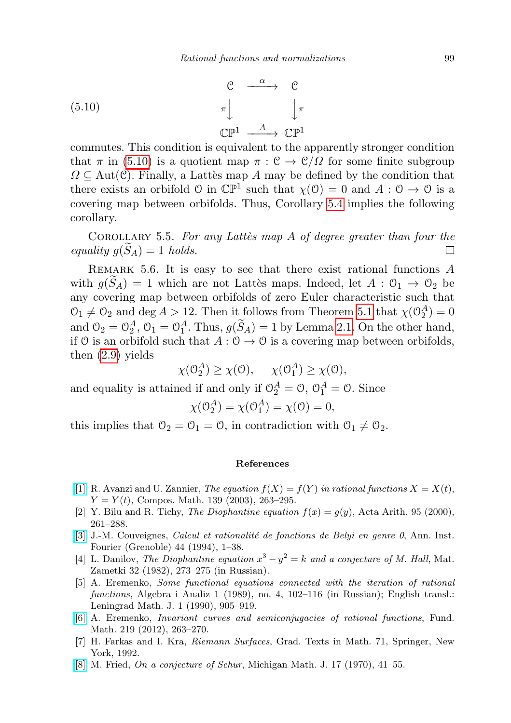<span id="page-26-8"></span>(5.10) 
$$
\begin{array}{ccc}\nC & \xrightarrow{\alpha} & C \\
\pi & & \downarrow{\pi} \\
\mathbb{CP}^1 & \xrightarrow{A} & \mathbb{CP}^1\n\end{array}
$$

commutes. This condition is equivalent to the apparently stronger condition that  $\pi$  in [\(5.10\)](#page-26-8) is a quotient map  $\pi : \mathcal{C} \to \mathcal{C}/\Omega$  for some finite subgroup  $\Omega \subseteq \text{Aut}(\mathcal{C})$ . Finally, a Lattes map A may be defined by the condition that there exists an orbifold  $\mathcal{O}$  in  $\mathbb{CP}^1$  such that  $\chi(\mathcal{O}) = 0$  and  $A : \mathcal{O} \to \mathcal{O}$  is a covering map between orbifolds. Thus, Corollary [5.4](#page-25-0) implies the following corollary.

COROLLARY 5.5. For any Lattes map  $A$  of degree greater than four the equality  $g(\widetilde{S}_A) = 1$  holds.  $\Box$ 

REMARK 5.6. It is easy to see that there exist rational functions  $A$ with  $g(S_A) = 1$  which are not Lattès maps. Indeed, let  $A : \mathcal{O}_1 \to \mathcal{O}_2$  be any covering map between orbifolds of zero Euler characteristic such that  $\mathcal{O}_1 \neq \mathcal{O}_2$  and deg  $A > 12$ . Then it follows from Theorem [5.1](#page-20-1) that  $\chi(\mathcal{O}_2^A) = 0$ and  $\mathcal{O}_2 = \mathcal{O}_2^A$ ,  $\mathcal{O}_1 = \mathcal{O}_1^A$ . Thus,  $g(\widetilde{S}_A) = 1$  by Lemma [2.1.](#page-7-0) On the other hand, if O is an orbifold such that  $A: \mathcal{O} \to \mathcal{O}$  is a covering map between orbifolds, then [\(2.9\)](#page-7-1) yields

$$
\chi(\mathcal{O}_2^A) \ge \chi(\mathcal{O}), \quad \chi(\mathcal{O}_1^A) \ge \chi(\mathcal{O}),
$$

and equality is attained if and only if  $\mathcal{O}_2^A = \mathcal{O}$ ,  $\mathcal{O}_1^A = \mathcal{O}$ . Since

$$
\chi(\mathcal{O}_2^A) = \chi(\mathcal{O}_1^A) = \chi(0) = 0,
$$

this implies that  $\mathcal{O}_2 = \mathcal{O}_1 = \mathcal{O}$ , in contradiction with  $\mathcal{O}_1 \neq \mathcal{O}_2$ .

## References

- <span id="page-26-1"></span>[\[1\]](http://dx.doi.org/10.1023/B:COMP.0000018136.23898.65) R. Avanzi and U. Zannier, The equation  $f(X) = f(Y)$  in rational functions  $X = X(t)$ ,  $Y = Y(t)$ , Compos. Math. 139 (2003), 263-295.
- <span id="page-26-0"></span>[2] Y. Bilu and R. Tichy, The Diophantine equation  $f(x) = g(y)$ , Acta Arith. 95 (2000), 261–288.
- <span id="page-26-5"></span>[\[3\]](http://dx.doi.org/10.5802/aif.1387) J.-M. Couveignes, *Calcul et rationalité de fonctions de Belyi en genre 0*, Ann. Inst. Fourier (Grenoble) 44 (1994), 1–38.
- <span id="page-26-6"></span>[4] L. Danilov, The Diophantine equation  $x^3 - y^2 = k$  and a conjecture of M. Hall, Mat. Zametki 32 (1982), 273–275 (in Russian).
- <span id="page-26-2"></span>[5] A. Eremenko, Some functional equations connected with the iteration of rational functions, Algebra i Analiz 1 (1989), no. 4, 102–116 (in Russian); English transl.: Leningrad Math. J. 1 (1990), 905–919.
- <span id="page-26-3"></span>[\[6\]](http://dx.doi.org/10.4064/fm219-3-5) A. Eremenko, Invariant curves and semiconjugacies of rational functions, Fund. Math. 219 (2012), 263–270.
- <span id="page-26-7"></span>[7] H. Farkas and I. Kra, Riemann Surfaces, Grad. Texts in Math. 71, Springer, New York, 1992.
- <span id="page-26-4"></span>[\[8\]](http://dx.doi.org/10.1307/mmj/1029000374) M. Fried, *On a conjecture of Schur*, Michigan Math. J. 17 (1970), 41–55.